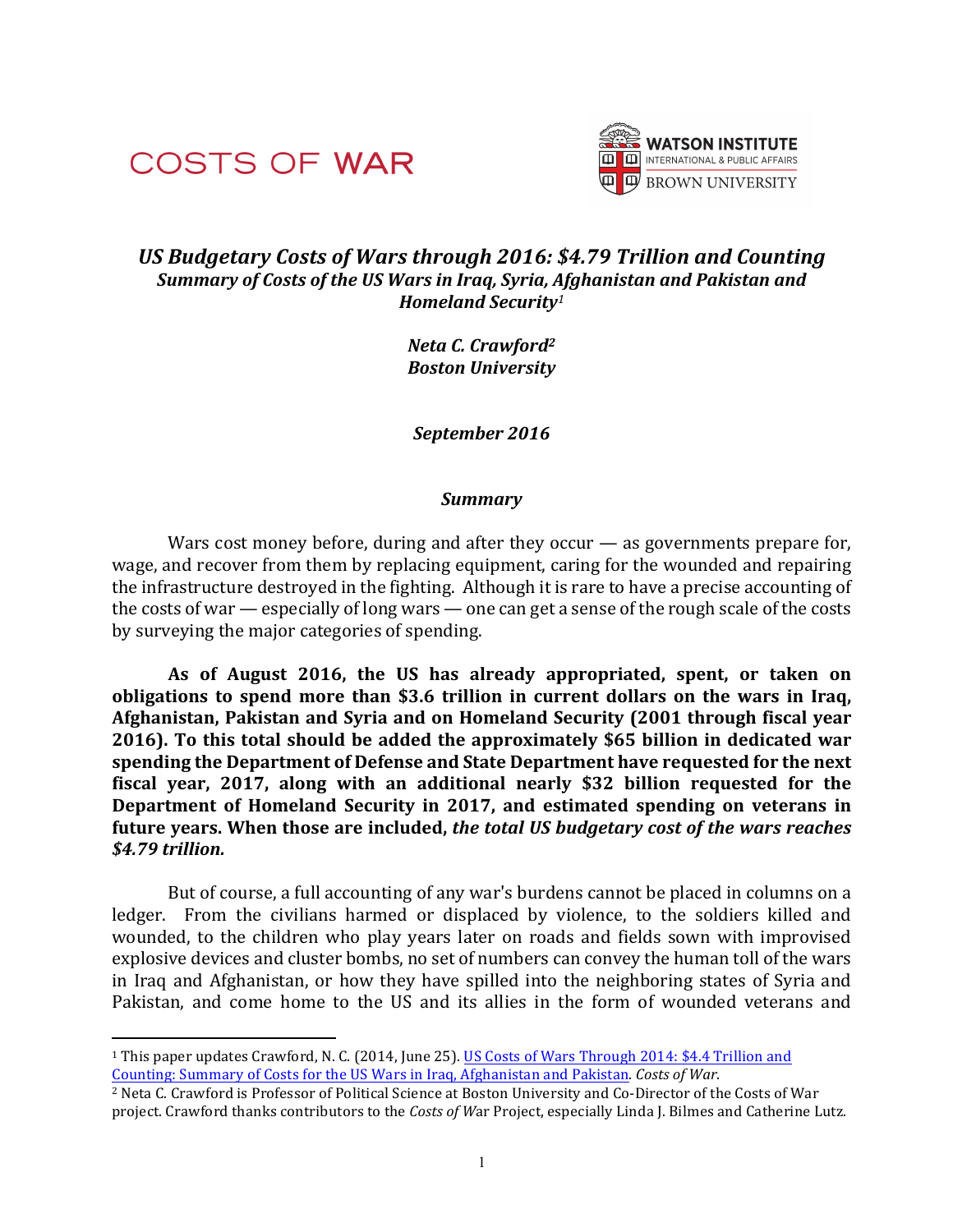

 



# *US Budgetary Costs of Wars through 2016: \$4.79 Trillion and Counting Summary of Costs of the US Wars in Iraq, Syria, Afghanistan and Pakistan and Homeland Security<sup>1</sup>*

*Neta C. Crawford2 Boston University*

*September 2016*

### *Summary*

Wars cost money before, during and after they occur  $-$  as governments prepare for, wage, and recover from them by replacing equipment, caring for the wounded and repairing the infrastructure destroyed in the fighting. Although it is rare to have a precise accounting of the costs of war  $-$  especially of long wars  $-$  one can get a sense of the rough scale of the costs by surveying the major categories of spending.

**As of August 2016, the US has already appropriated, spent, or taken on obligations to spend more than \$3.6 trillion in current dollars on the wars in Iraq,** Afghanistan, Pakistan and Syria and on Homeland Security (2001 through fiscal year **2016).** To this total should be added the approximately \$65 billion in dedicated war **spending the Department of Defense and State Department have requested for the next fiscal year, 2017, along with an additional nearly \$32 billion requested for the Department of Homeland Security in 2017, and estimated spending on veterans in future** years. When those are included, the total US budgetary cost of the wars reaches *\$4.79 trillion.*

But of course, a full accounting of any war's burdens cannot be placed in columns on a ledger. From the civilians harmed or displaced by violence, to the soldiers killed and wounded, to the children who play years later on roads and fields sown with improvised explosive devices and cluster bombs, no set of numbers can convey the human toll of the wars in Iraq and Afghanistan, or how they have spilled into the neighboring states of Syria and Pakistan, and come home to the US and its allies in the form of wounded veterans and

<sup>&</sup>lt;sup>1</sup> This paper updates Crawford, N. C. (2014, June 25). US Costs of Wars Through 2014: \$4.4 Trillion and Counting: Summary of Costs for the US Wars in Iraq, Afghanistan and Pakistan. Costs of War.

<sup>&</sup>lt;sup>2</sup> Neta C. Crawford is Professor of Political Science at Boston University and Co-Director of the Costs of War project. Crawford thanks contributors to the *Costs of War Project*, especially Linda J. Bilmes and Catherine Lutz.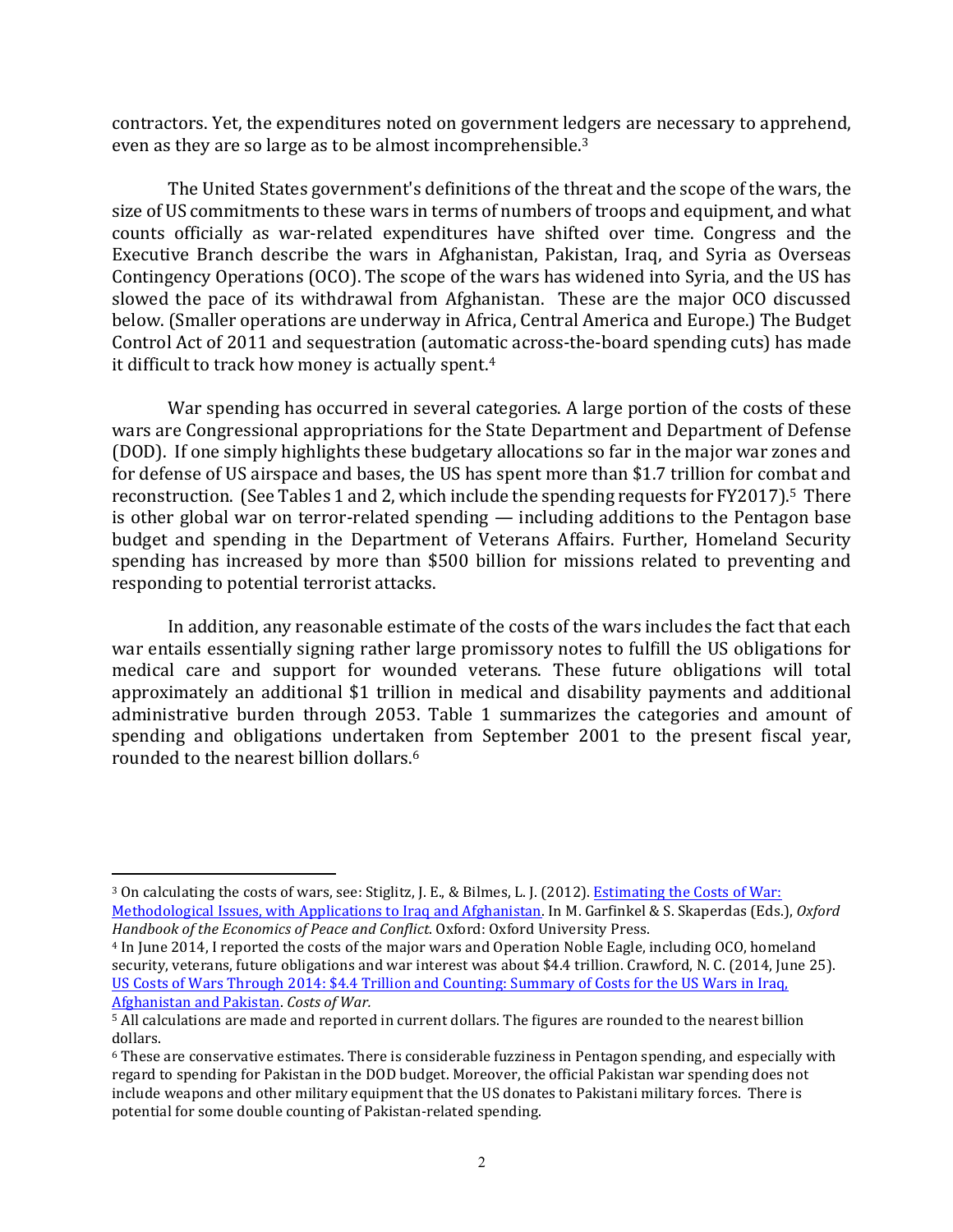contractors. Yet, the expenditures noted on government ledgers are necessary to apprehend, even as they are so large as to be almost incomprehensible.<sup>3</sup>

The United States government's definitions of the threat and the scope of the wars, the size of US commitments to these wars in terms of numbers of troops and equipment, and what counts officially as war-related expenditures have shifted over time. Congress and the Executive Branch describe the wars in Afghanistan, Pakistan, Iraq, and Syria as Overseas Contingency Operations (OCO). The scope of the wars has widened into Syria, and the US has slowed the pace of its withdrawal from Afghanistan. These are the major OCO discussed below. (Smaller operations are underway in Africa, Central America and Europe.) The Budget Control Act of 2011 and sequestration (automatic across-the-board spending cuts) has made it difficult to track how money is actually spent.<sup>4</sup>

War spending has occurred in several categories. A large portion of the costs of these wars are Congressional appropriations for the State Department and Department of Defense (DOD). If one simply highlights these budgetary allocations so far in the major war zones and for defense of US airspace and bases, the US has spent more than \$1.7 trillion for combat and reconstruction. (See Tables 1 and 2, which include the spending requests for FY2017).<sup>5</sup> There is other global war on terror-related spending — including additions to the Pentagon base budget and spending in the Department of Veterans Affairs. Further, Homeland Security spending has increased by more than \$500 billion for missions related to preventing and responding to potential terrorist attacks.

In addition, any reasonable estimate of the costs of the wars includes the fact that each war entails essentially signing rather large promissory notes to fulfill the US obligations for medical care and support for wounded veterans. These future obligations will total approximately an additional \$1 trillion in medical and disability payments and additional administrative burden through 2053. Table 1 summarizes the categories and amount of spending and obligations undertaken from September 2001 to the present fiscal year, rounded to the nearest billion dollars.<sup>6</sup>

<sup>&</sup>lt;sup>3</sup> On calculating the costs of wars, see: Stiglitz, J. E., & Bilmes, L. J. (2012). Estimating the Costs of War: Methodological Issues, with Applications to Iraq and Afghanistan. In M. Garfinkel & S. Skaperdas (Eds.), *Oxford* Handbook of the *Economics of Peace and Conflict*. Oxford: Oxford University Press.

<sup>&</sup>lt;sup>4</sup> In June 2014, I reported the costs of the major wars and Operation Noble Eagle, including OCO, homeland security, veterans, future obligations and war interest was about \$4.4 trillion. Crawford, N. C. (2014, June 25). US Costs of Wars Through 2014: \$4.4 Trillion and Counting: Summary of Costs for the US Wars in Iraq, Afghanistan and Pakistan. Costs of War.

<sup>&</sup>lt;sup>5</sup> All calculations are made and reported in current dollars. The figures are rounded to the nearest billion dollars.

 $6$  These are conservative estimates. There is considerable fuzziness in Pentagon spending, and especially with regard to spending for Pakistan in the DOD budget. Moreover, the official Pakistan war spending does not include weapons and other military equipment that the US donates to Pakistani military forces. There is potential for some double counting of Pakistan-related spending.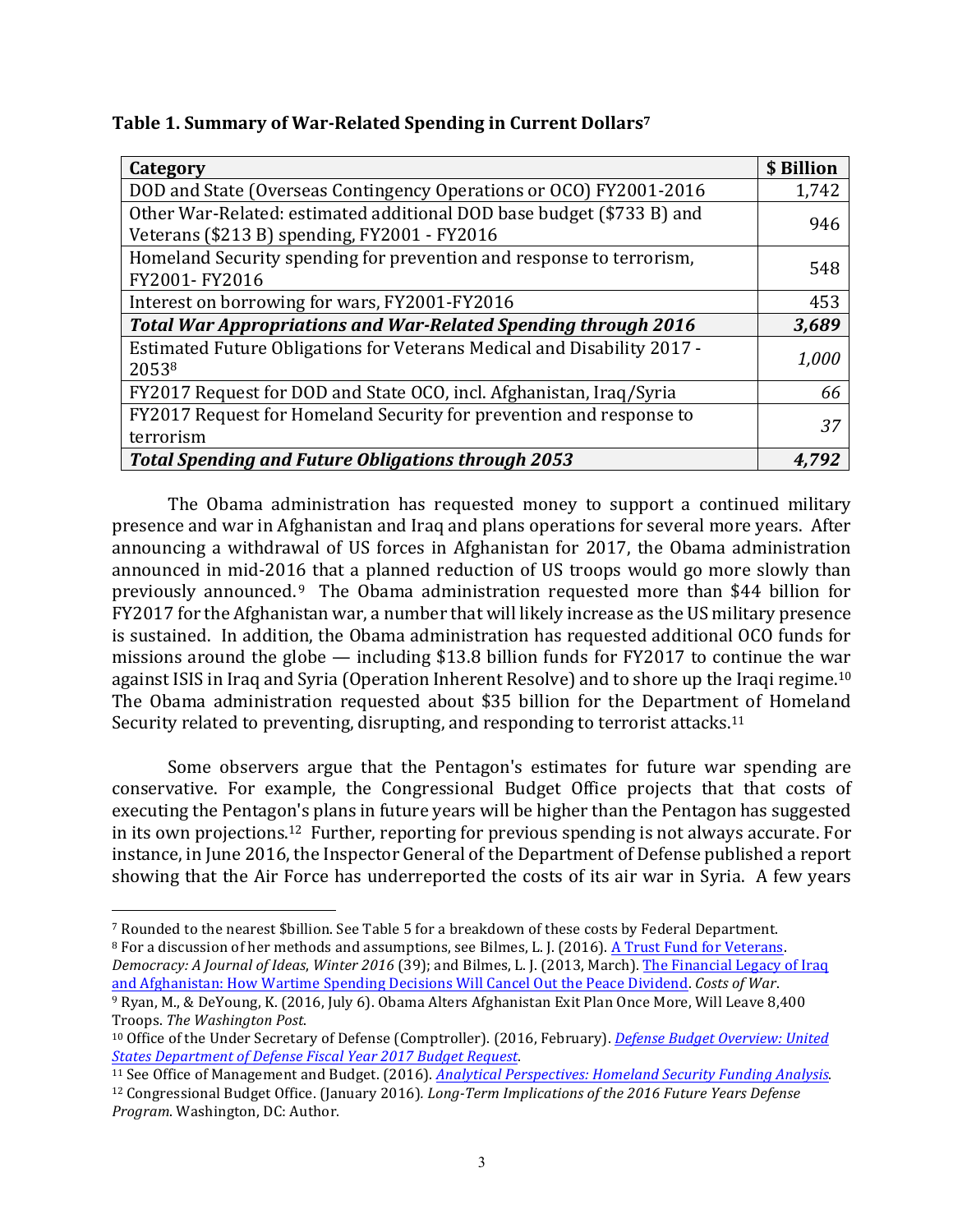| Category                                                                                                              | \$ Billion |
|-----------------------------------------------------------------------------------------------------------------------|------------|
| DOD and State (Overseas Contingency Operations or OCO) FY2001-2016                                                    | 1,742      |
| Other War-Related: estimated additional DOD base budget (\$733 B) and<br>Veterans (\$213 B) spending, FY2001 - FY2016 | 946        |
| Homeland Security spending for prevention and response to terrorism,<br>FY2001-FY2016                                 | 548        |
| Interest on borrowing for wars, FY2001-FY2016                                                                         | 453        |
| <b>Total War Appropriations and War-Related Spending through 2016</b>                                                 | 3,689      |
| Estimated Future Obligations for Veterans Medical and Disability 2017 -<br>20538                                      | 1,000      |
| FY2017 Request for DOD and State OCO, incl. Afghanistan, Iraq/Syria                                                   | 66         |
| FY2017 Request for Homeland Security for prevention and response to<br>terrorism                                      | 37         |
| <b>Total Spending and Future Obligations through 2053</b>                                                             | 4,792      |

The Obama administration has requested money to support a continued military presence and war in Afghanistan and Iraq and plans operations for several more years. After announcing a withdrawal of US forces in Afghanistan for 2017, the Obama administration announced in mid-2016 that a planned reduction of US troops would go more slowly than previously announced.<sup>9</sup> The Obama administration requested more than \$44 billion for FY2017 for the Afghanistan war, a number that will likely increase as the US military presence is sustained. In addition, the Obama administration has requested additional OCO funds for missions around the globe  $-$  including \$13.8 billion funds for FY2017 to continue the war against ISIS in Iraq and Syria (Operation Inherent Resolve) and to shore up the Iraqi regime. $^{10}$ The Obama administration requested about \$35 billion for the Department of Homeland Security related to preventing, disrupting, and responding to terrorist attacks.<sup>11</sup>

Some observers argue that the Pentagon's estimates for future war spending are conservative. For example, the Congressional Budget Office projects that that costs of executing the Pentagon's plans in future years will be higher than the Pentagon has suggested in its own projections.<sup>12</sup> Further, reporting for previous spending is not always accurate. For instance, in June 2016, the Inspector General of the Department of Defense published a report showing that the Air Force has underreported the costs of its air war in Syria. A few years

<sup>&</sup>lt;sup>7</sup> Rounded to the nearest \$billion. See Table 5 for a breakdown of these costs by Federal Department. <sup>8</sup> For a discussion of her methods and assumptions, see Bilmes, L. J. (2016). A Trust Fund for Veterans. *Democracy:* A Journal of Ideas, *Winter* 2016 (39); and Bilmes, L. J. (2013, March). The Financial Legacy of Iraq and Afghanistan: How Wartime Spending Decisions Will Cancel Out the Peace Dividend. Costs of War.

<sup>9</sup> Ryan, M., & DeYoung, K. (2016, July 6). Obama Alters Afghanistan Exit Plan Once More, Will Leave 8,400 Troops. *The Washington Post*. 

<sup>&</sup>lt;sup>10</sup> Office of the Under Secretary of Defense (Comptroller). (2016, February). *Defense Budget Overview: United States Department of Defense Fiscal Year 2017 Budget Request*. 

<sup>&</sup>lt;sup>11</sup> See Office of Management and Budget. (2016). *Analytical Perspectives: Homeland Security Funding Analysis*.

<sup>&</sup>lt;sup>12</sup> Congressional Budget Office. (January 2016). *Long-Term Implications of the 2016 Future Years Defense Program.* Washington, DC: Author.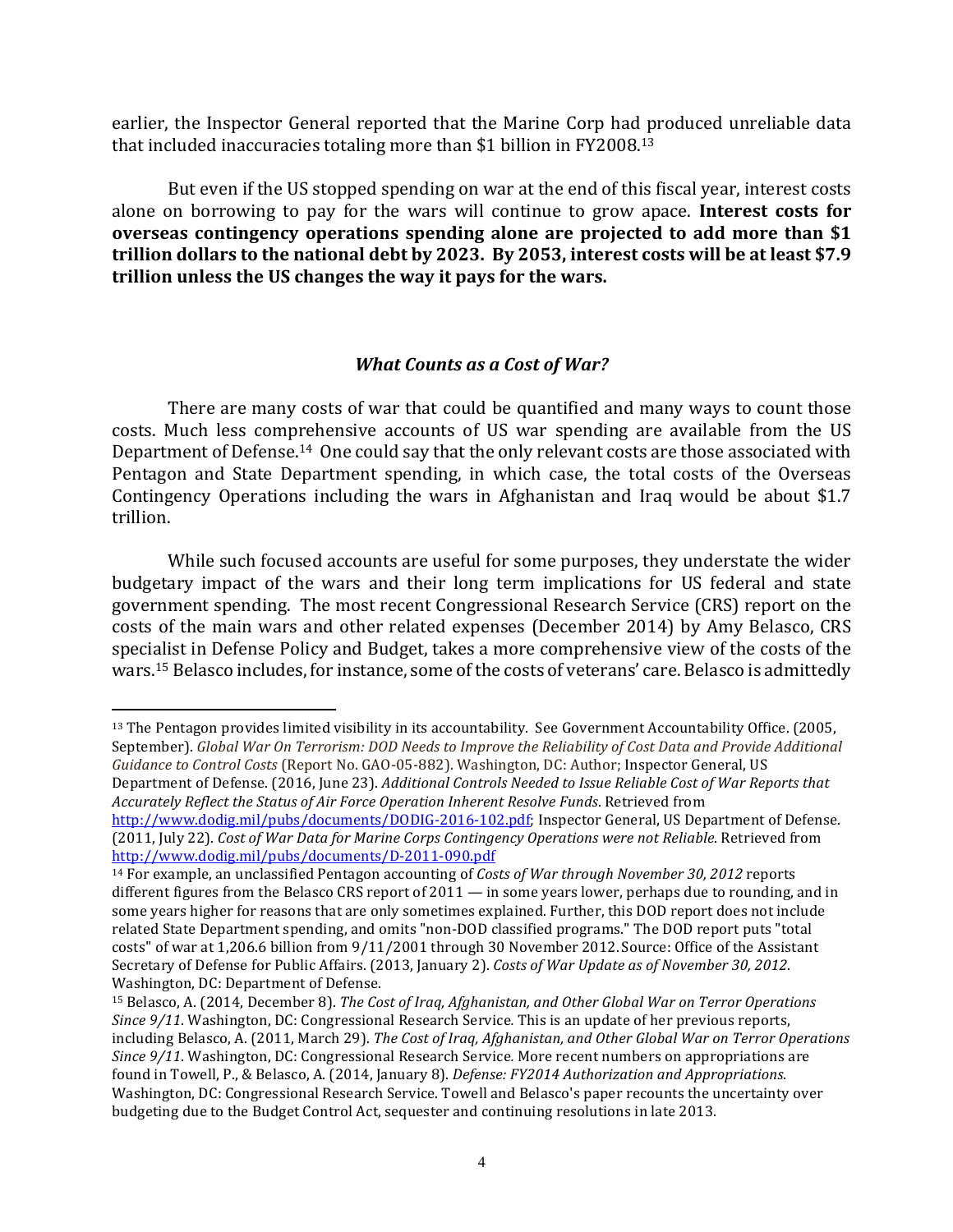earlier, the Inspector General reported that the Marine Corp had produced unreliable data that included inaccuracies totaling more than \$1 billion in FY2008.<sup>13</sup>

But even if the US stopped spending on war at the end of this fiscal year, interest costs alone on borrowing to pay for the wars will continue to grow apace. Interest costs for **overseas contingency operations spending alone are projected to add more than \$1** trillion dollars to the national debt by 2023. By 2053, interest costs will be at least \$7.9 trillion unless the US changes the way it pays for the wars.

# *What Counts as a Cost of War?*

There are many costs of war that could be quantified and many ways to count those costs. Much less comprehensive accounts of US war spending are available from the US Department of Defense.<sup>14</sup> One could say that the only relevant costs are those associated with Pentagon and State Department spending, in which case, the total costs of the Overseas Contingency Operations including the wars in Afghanistan and Iraq would be about \$1.7 trillion.

While such focused accounts are useful for some purposes, they understate the wider budgetary impact of the wars and their long term implications for US federal and state government spending. The most recent Congressional Research Service (CRS) report on the costs of the main wars and other related expenses (December 2014) by Amy Belasco, CRS specialist in Defense Policy and Budget, takes a more comprehensive view of the costs of the wars.<sup>15</sup> Belasco includes, for instance, some of the costs of veterans' care. Belasco is admittedly

<sup>&</sup>lt;sup>13</sup> The Pentagon provides limited visibility in its accountability. See Government Accountability Office. (2005, September). Global War On Terrorism: DOD Needs to Improve the Reliability of Cost Data and Provide Additional *Guidance to Control Costs* (Report No. GAO-05-882). Washington, DC: Author; Inspector General, US Department of Defense. (2016, June 23). *Additional Controls Needed to Issue Reliable Cost of War Reports that Accurately Reflect the Status of Air Force Operation Inherent Resolve Funds*. Retrieved from 

http://www.dodig.mil/pubs/documents/DODIG-2016-102.pdf; Inspector General, US Department of Defense. (2011, July 22). *Cost of War Data for Marine Corps Contingency Operations were not Reliable*. Retrieved from http://www.dodig.mil/pubs/documents/D-2011-090.pdf

<sup>&</sup>lt;sup>14</sup> For example, an unclassified Pentagon accounting of *Costs of War through November 30, 2012* reports different figures from the Belasco CRS report of  $2011 -$  in some years lower, perhaps due to rounding, and in some years higher for reasons that are only sometimes explained. Further, this DOD report does not include related State Department spending, and omits "non-DOD classified programs." The DOD report puts "total costs" of war at 1,206.6 billion from 9/11/2001 through 30 November 2012. Source: Office of the Assistant Secretary of Defense for Public Affairs. (2013, January 2). *Costs of War Update as of November 30, 2012*. Washington, DC: Department of Defense.

<sup>&</sup>lt;sup>15</sup> Belasco, A. (2014, December 8). *The Cost of Iraq, Afghanistan, and Other Global War on Terror Operations Since*  $9/11$ . Washington, DC: Congressional Research Service. This is an update of her previous reports, including Belasco, A. (2011, March 29). The Cost of Iraq, Afghanistan, and Other Global War on Terror Operations *Since* 9/11. Washington, DC: Congressional Research Service. More recent numbers on appropriations are found in Towell, P., & Belasco, A. (2014, January 8). *Defense: FY2014 Authorization and Appropriations*. Washington, DC: Congressional Research Service. Towell and Belasco's paper recounts the uncertainty over budgeting due to the Budget Control Act, sequester and continuing resolutions in late 2013.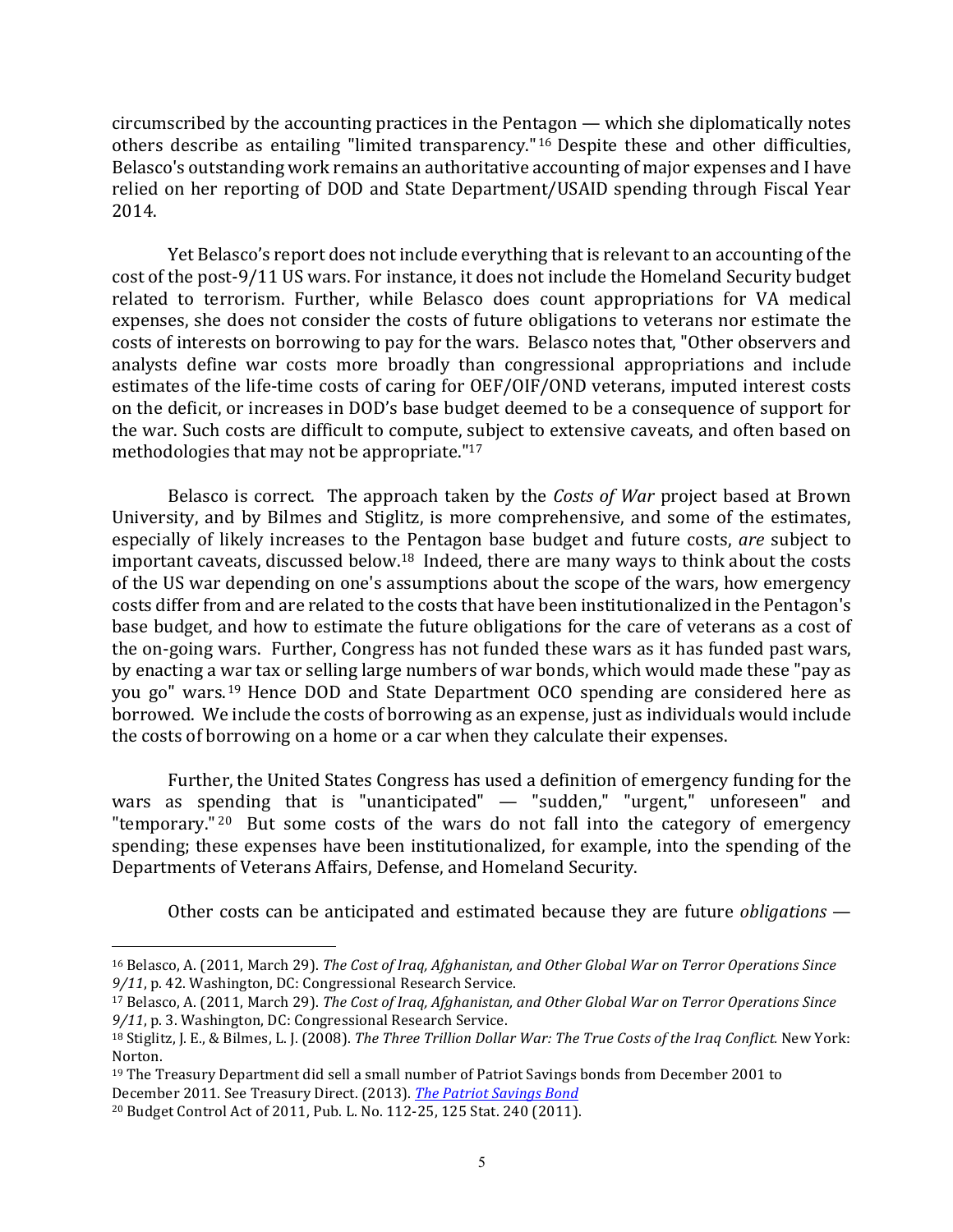$circ$  circumscribed by the accounting practices in the Pentagon  $-$  which she diplomatically notes others describe as entailing "limited transparency."<sup>16</sup> Despite these and other difficulties, Belasco's outstanding work remains an authoritative accounting of major expenses and I have relied on her reporting of DOD and State Department/USAID spending through Fiscal Year 2014. 

Yet Belasco's report does not include everything that is relevant to an accounting of the cost of the post-9/11 US wars. For instance, it does not include the Homeland Security budget related to terrorism. Further, while Belasco does count appropriations for VA medical expenses, she does not consider the costs of future obligations to veterans nor estimate the costs of interests on borrowing to pay for the wars. Belasco notes that, "Other observers and analysts define war costs more broadly than congressional appropriations and include estimates of the life-time costs of caring for OEF/OIF/OND veterans, imputed interest costs on the deficit, or increases in DOD's base budget deemed to be a consequence of support for the war. Such costs are difficult to compute, subject to extensive caveats, and often based on methodologies that may not be appropriate." $17$ 

Belasco is correct. The approach taken by the *Costs of War* project based at Brown University, and by Bilmes and Stiglitz, is more comprehensive, and some of the estimates, especially of likely increases to the Pentagon base budget and future costs, *are* subject to important caveats, discussed below. $18$  Indeed, there are many ways to think about the costs of the US war depending on one's assumptions about the scope of the wars, how emergency costs differ from and are related to the costs that have been institutionalized in the Pentagon's base budget, and how to estimate the future obligations for the care of veterans as a cost of the on-going wars. Further, Congress has not funded these wars as it has funded past wars, by enacting a war tax or selling large numbers of war bonds, which would made these "pay as you go" wars.<sup>19</sup> Hence DOD and State Department OCO spending are considered here as borrowed. We include the costs of borrowing as an expense, just as individuals would include the costs of borrowing on a home or a car when they calculate their expenses.

Further, the United States Congress has used a definition of emergency funding for the wars as spending that is "unanticipated" — "sudden," "urgent," unforeseen" and "temporary.<sup>" 20</sup> But some costs of the wars do not fall into the category of emergency spending; these expenses have been institutionalized, for example, into the spending of the Departments of Veterans Affairs, Defense, and Homeland Security.

Other costs can be anticipated and estimated because they are future *obligations* —

<sup>&</sup>lt;sup>16</sup> Belasco, A. (2011, March 29). *The Cost of Iraq, Afghanistan, and Other Global War on Terror Operations Since* 9/11, p. 42. Washington, DC: Congressional Research Service.

<sup>&</sup>lt;sup>17</sup> Belasco, A. (2011, March 29). *The Cost of Iraq, Afghanistan, and Other Global War on Terror Operations Since* 9/11, p. 3. Washington, DC: Congressional Research Service.

<sup>18</sup> Stiglitz, J. E., & Bilmes, L. J. (2008). The Three Trillion Dollar War: The True Costs of the Iraq Conflict. New York: Norton.

 $19$  The Treasury Department did sell a small number of Patriot Savings bonds from December 2001 to December 2011. See Treasury Direct. (2013). *The Patriot Savings Bond* 

<sup>&</sup>lt;sup>20</sup> Budget Control Act of 2011, Pub. L. No. 112-25, 125 Stat. 240 (2011).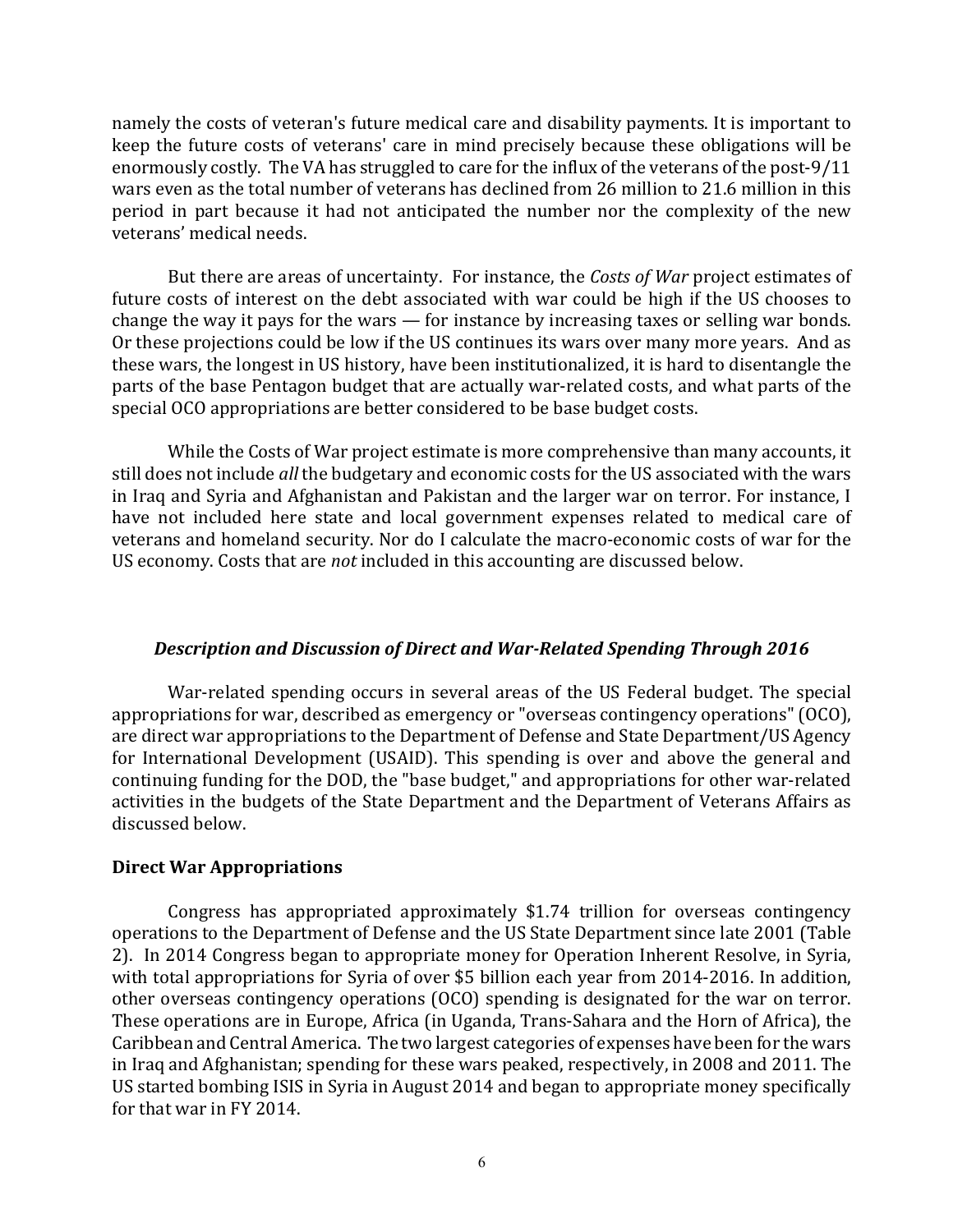namely the costs of veteran's future medical care and disability payments. It is important to keep the future costs of veterans' care in mind precisely because these obligations will be enormously costly. The VA has struggled to care for the influx of the veterans of the post-9/11 wars even as the total number of veterans has declined from 26 million to 21.6 million in this period in part because it had not anticipated the number nor the complexity of the new veterans' medical needs.

But there are areas of uncertainty. For instance, the *Costs of War* project estimates of future costs of interest on the debt associated with war could be high if the US chooses to change the way it pays for the wars  $-$  for instance by increasing taxes or selling war bonds. Or these projections could be low if the US continues its wars over many more years. And as these wars, the longest in US history, have been institutionalized, it is hard to disentangle the parts of the base Pentagon budget that are actually war-related costs, and what parts of the special OCO appropriations are better considered to be base budget costs.

While the Costs of War project estimate is more comprehensive than many accounts, it still does not include *all* the budgetary and economic costs for the US associated with the wars in Iraq and Syria and Afghanistan and Pakistan and the larger war on terror. For instance, I have not included here state and local government expenses related to medical care of veterans and homeland security. Nor do I calculate the macro-economic costs of war for the US economy. Costs that are *not* included in this accounting are discussed below.

## **Description and Discussion of Direct and War-Related Spending Through 2016**

War-related spending occurs in several areas of the US Federal budget. The special appropriations for war, described as emergency or "overseas contingency operations" (OCO), are direct war appropriations to the Department of Defense and State Department/US Agency for International Development (USAID). This spending is over and above the general and continuing funding for the DOD, the "base budget," and appropriations for other war-related activities in the budgets of the State Department and the Department of Veterans Affairs as discussed below.

## **Direct War Appropriations**

Congress has appropriated approximately  $$1.74$  trillion for overseas contingency operations to the Department of Defense and the US State Department since late 2001 (Table 2). In 2014 Congress began to appropriate money for Operation Inherent Resolve, in Syria, with total appropriations for Syria of over \$5 billion each year from 2014-2016. In addition, other overseas contingency operations (OCO) spending is designated for the war on terror. These operations are in Europe, Africa (in Uganda, Trans-Sahara and the Horn of Africa), the Caribbean and Central America. The two largest categories of expenses have been for the wars in Iraq and Afghanistan; spending for these wars peaked, respectively, in 2008 and 2011. The US started bombing ISIS in Syria in August 2014 and began to appropriate money specifically for that war in  $FY$  2014.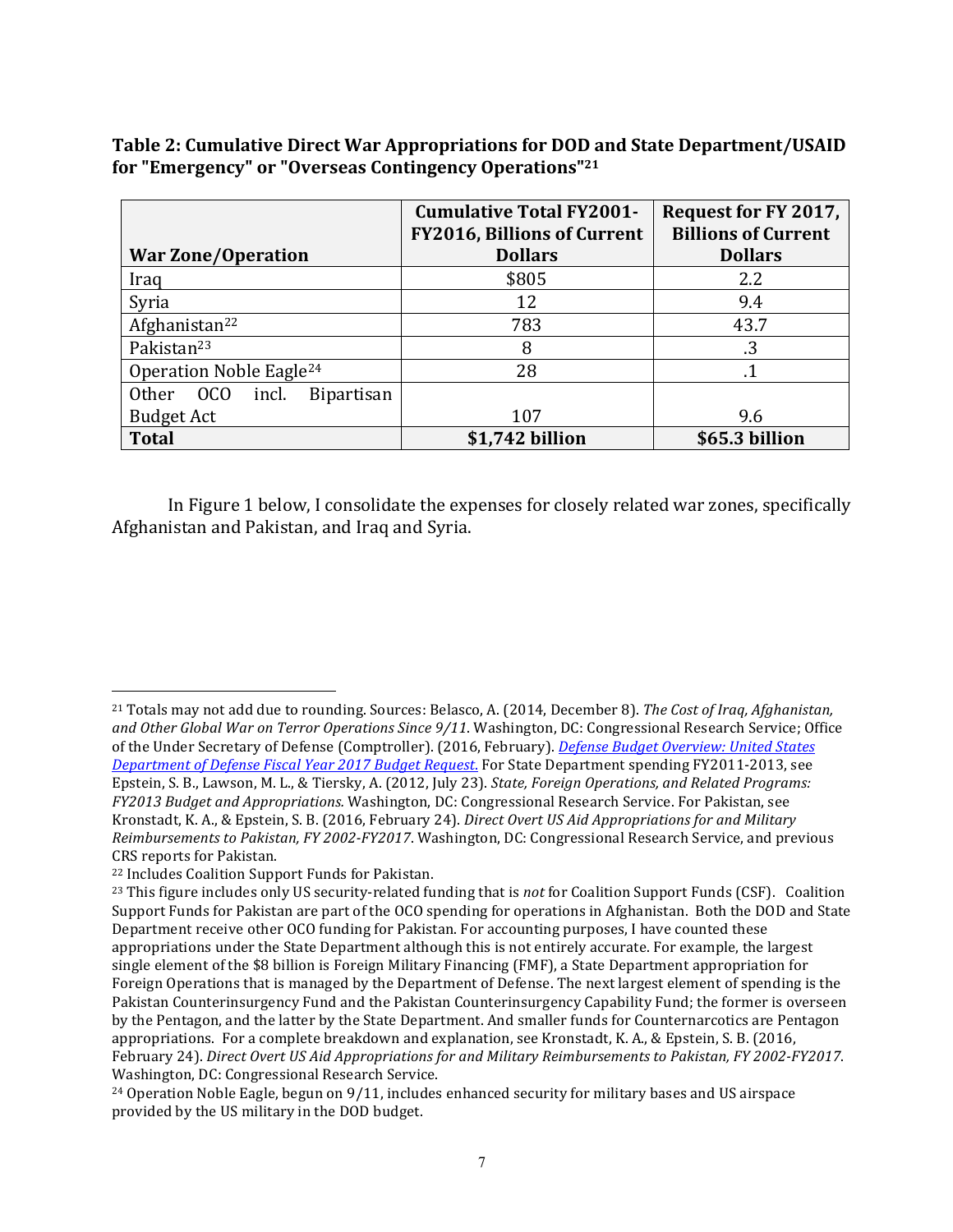Table 2: Cumulative Direct War Appropriations for DOD and State Department/USAID for "Emergency" or "Overseas Contingency Operations"<sup>21</sup>

|                                            | <b>Cumulative Total FY2001-</b><br><b>FY2016, Billions of Current</b> | Request for FY 2017,<br><b>Billions of Current</b> |
|--------------------------------------------|-----------------------------------------------------------------------|----------------------------------------------------|
| <b>War Zone/Operation</b>                  | <b>Dollars</b>                                                        | <b>Dollars</b>                                     |
| Iraq                                       | \$805                                                                 | 2.2                                                |
| Syria                                      | 12                                                                    | 9.4                                                |
| Afghanistan <sup>22</sup>                  | 783                                                                   | 43.7                                               |
| Pakistan <sup>23</sup>                     | 8                                                                     | .3                                                 |
| Operation Noble Eagle <sup>24</sup>        | 28                                                                    |                                                    |
| OCO<br>incl.<br><b>Bipartisan</b><br>Other |                                                                       |                                                    |
| <b>Budget Act</b>                          | 107                                                                   | 9.6                                                |
| <b>Total</b>                               | \$1,742 billion                                                       | \$65.3 billion                                     |

In Figure 1 below, I consolidate the expenses for closely related war zones, specifically Afghanistan and Pakistan, and Iraq and Syria.

<sup>&</sup>lt;sup>21</sup> Totals may not add due to rounding. Sources: Belasco, A. (2014, December 8). *The Cost of Iraq, Afghanistan,* and Other Global War on Terror Operations Since  $9/11$ . Washington, DC: Congressional Research Service; Office of the Under Secretary of Defense (Comptroller). (2016, February). *Defense Budget Overview: United States Department of Defense Fiscal Year 2017 Budget Request*. For State Department spending FY2011-2013, see Epstein, S. B., Lawson, M. L., & Tiersky, A. (2012, July 23). *State, Foreign Operations, and Related Programs: FY2013 Budget and Appropriations.* Washington, DC: Congressional Research Service. For Pakistan, see Kronstadt, K. A., & Epstein, S. B. (2016, February 24). *Direct Overt US Aid Appropriations for and Military Reimbursements to Pakistan, FY 2002-FY2017.* Washington, DC: Congressional Research Service, and previous CRS reports for Pakistan.

<sup>&</sup>lt;sup>22</sup> Includes Coalition Support Funds for Pakistan.

 $^{23}$  This figure includes only US security-related funding that is *not* for Coalition Support Funds (CSF). Coalition Support Funds for Pakistan are part of the OCO spending for operations in Afghanistan. Both the DOD and State Department receive other OCO funding for Pakistan. For accounting purposes, I have counted these appropriations under the State Department although this is not entirely accurate. For example, the largest single element of the \$8 billion is Foreign Military Financing (FMF), a State Department appropriation for Foreign Operations that is managed by the Department of Defense. The next largest element of spending is the Pakistan Counterinsurgency Fund and the Pakistan Counterinsurgency Capability Fund; the former is overseen by the Pentagon, and the latter by the State Department. And smaller funds for Counternarcotics are Pentagon appropriations. For a complete breakdown and explanation, see Kronstadt, K. A., & Epstein, S. B. (2016, February 24). *Direct Overt US Aid Appropriations for and Military Reimbursements to Pakistan, FY 2002-FY2017.* Washington, DC: Congressional Research Service.

 $24$  Operation Noble Eagle, begun on 9/11, includes enhanced security for military bases and US airspace provided by the US military in the DOD budget.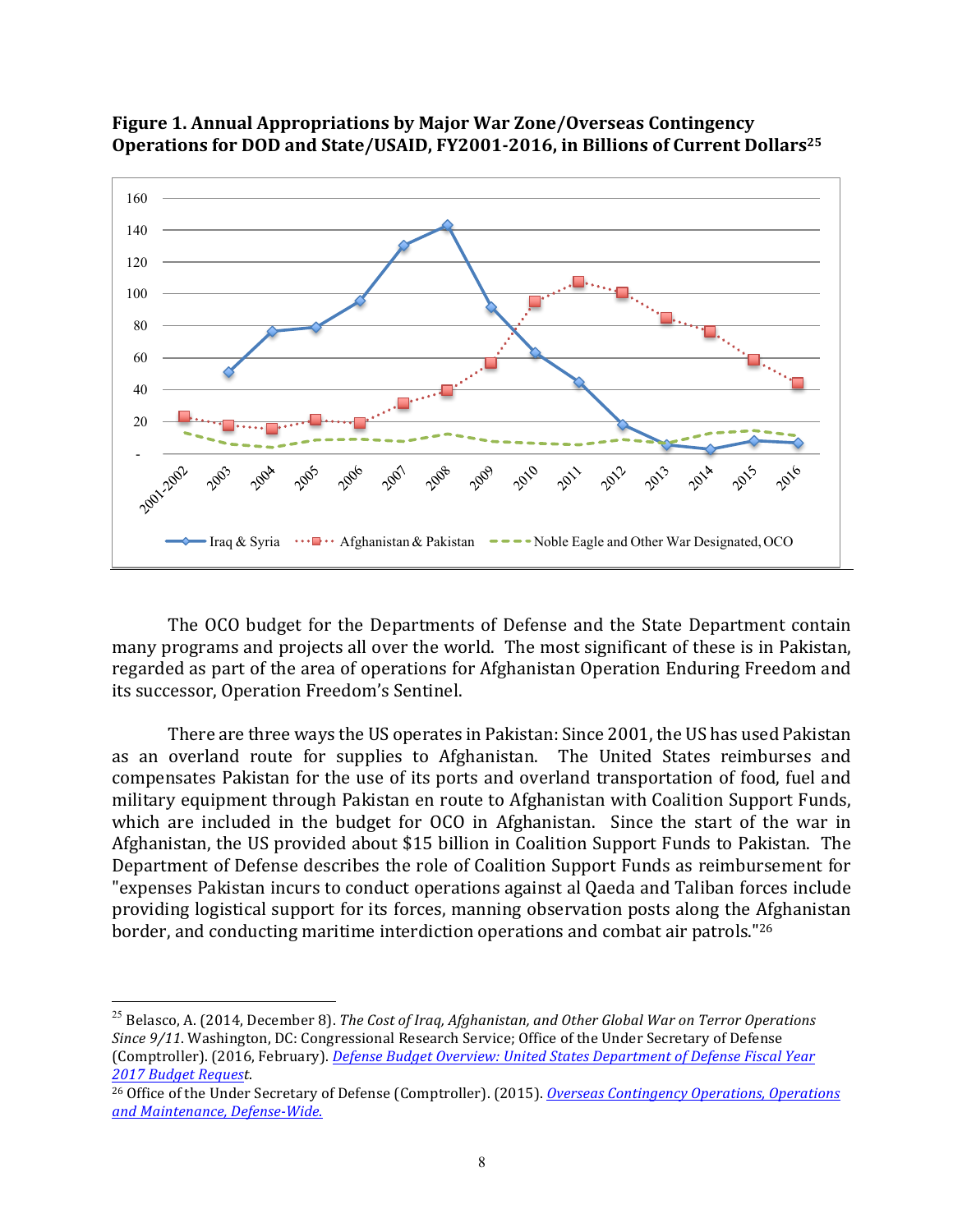



The OCO budget for the Departments of Defense and the State Department contain many programs and projects all over the world. The most significant of these is in Pakistan, regarded as part of the area of operations for Afghanistan Operation Enduring Freedom and its successor, Operation Freedom's Sentinel.

There are three ways the US operates in Pakistan: Since 2001, the US has used Pakistan as an overland route for supplies to Afghanistan. The United States reimburses and compensates Pakistan for the use of its ports and overland transportation of food, fuel and military equipment through Pakistan en route to Afghanistan with Coalition Support Funds, which are included in the budget for OCO in Afghanistan. Since the start of the war in Afghanistan, the US provided about \$15 billion in Coalition Support Funds to Pakistan. The Department of Defense describes the role of Coalition Support Funds as reimbursement for "expenses Pakistan incurs to conduct operations against al Qaeda and Taliban forces include providing logistical support for its forces, manning observation posts along the Afghanistan border, and conducting maritime interdiction operations and combat air patrols."<sup>26</sup>

<sup>25</sup> Belasco, A. (2014, December 8). *The Cost of Iraq, Afghanistan, and Other Global War on Terror Operations Since*  $9/11$ . Washington, DC: Congressional Research Service; Office of the Under Secretary of Defense (Comptroller). (2016, February). *Defense Budget Overview: United States Department of Defense Fiscal Year 2017 Budget Request*. 

<sup>&</sup>lt;sup>26</sup> Office of the Under Secretary of Defense (Comptroller). (2015). *Overseas Contingency Operations, Operations and Maintenance, Defense-Wide*.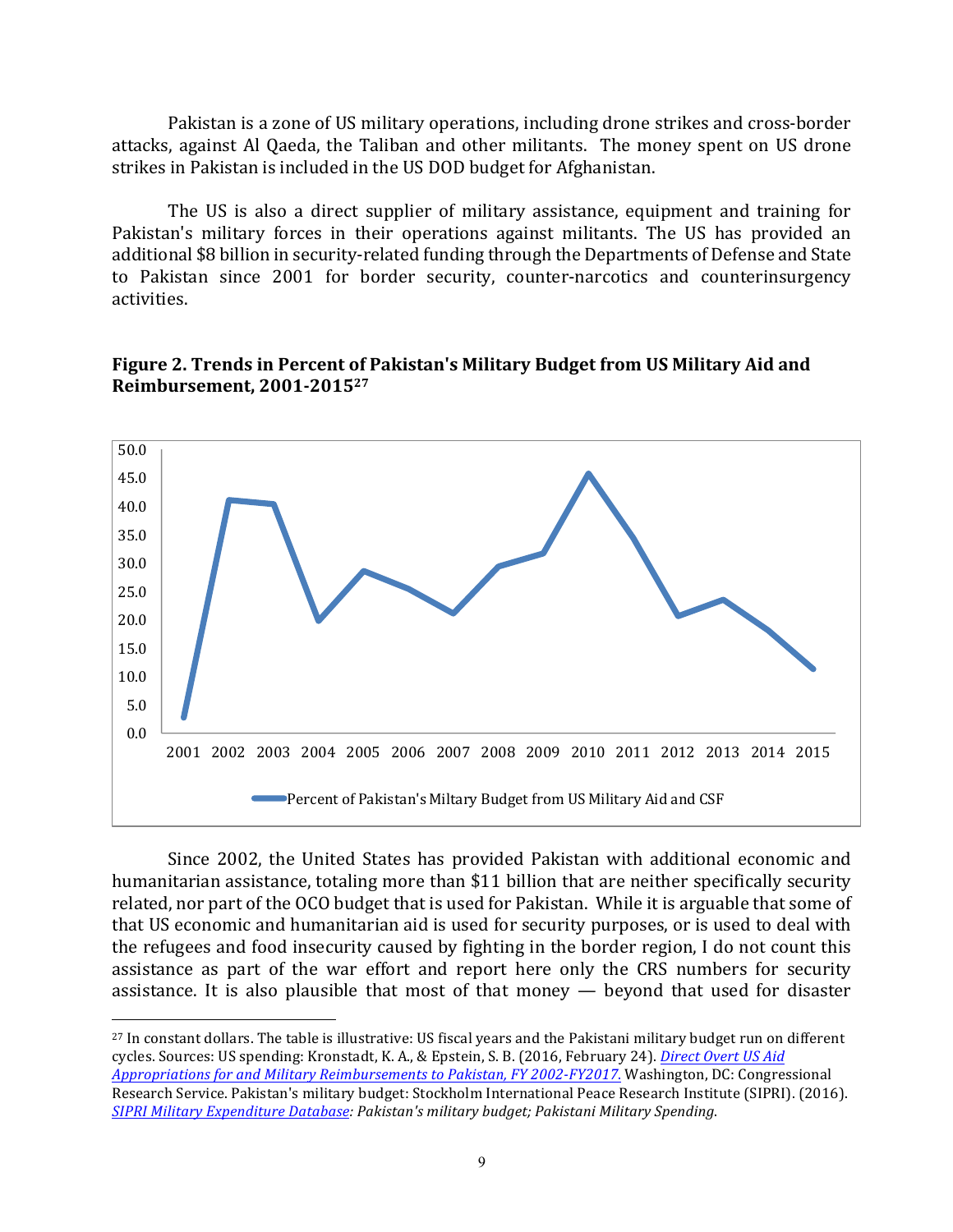Pakistan is a zone of US military operations, including drone strikes and cross-border attacks, against Al Qaeda, the Taliban and other militants. The money spent on US drone strikes in Pakistan is included in the US DOD budget for Afghanistan.

The US is also a direct supplier of military assistance, equipment and training for Pakistan's military forces in their operations against militants. The US has provided an additional \$8 billion in security-related funding through the Departments of Defense and State to Pakistan since 2001 for border security, counter-narcotics and counterinsurgency activities.

#### **Figure 2. Trends in Percent of Pakistan's Military Budget from US Military Aid and Reimbursement, 2001-201527**



Since 2002, the United States has provided Pakistan with additional economic and humanitarian assistance, totaling more than \$11 billion that are neither specifically security related, nor part of the OCO budget that is used for Pakistan. While it is arguable that some of that US economic and humanitarian aid is used for security purposes, or is used to deal with the refugees and food insecurity caused by fighting in the border region, I do not count this assistance as part of the war effort and report here only the CRS numbers for security assistance. It is also plausible that most of that money  $-$  beyond that used for disaster

<sup>&</sup>lt;sup>27</sup> In constant dollars. The table is illustrative: US fiscal years and the Pakistani military budget run on different cycles. Sources: US spending: Kronstadt, K. A., & Epstein, S. B. (2016, February 24). *Direct Overt US Aid Appropriations for and Military Reimbursements to Pakistan, FY 2002-FY2017.* Washington, DC: Congressional Research Service. Pakistan's military budget: Stockholm International Peace Research Institute (SIPRI). (2016). *SIPRI Military Expenditure Database: Pakistan's military budget; Pakistani Military Spending*.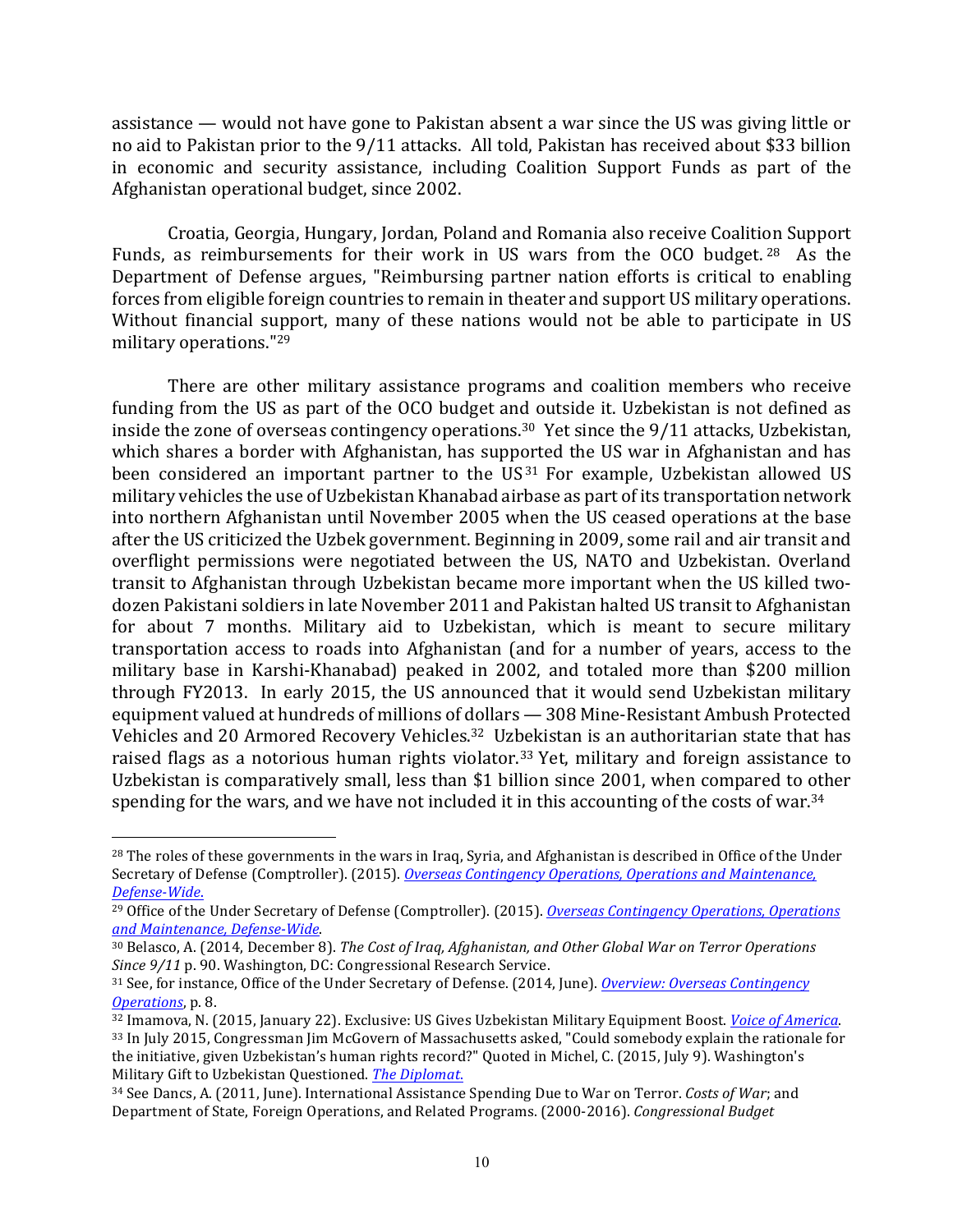assistance — would not have gone to Pakistan absent a war since the US was giving little or no aid to Pakistan prior to the 9/11 attacks. All told, Pakistan has received about \$33 billion in economic and security assistance, including Coalition Support Funds as part of the Afghanistan operational budget, since 2002.

Croatia, Georgia, Hungary, Jordan, Poland and Romania also receive Coalition Support Funds, as reimbursements for their work in US wars from the OCO budget. <sup>28</sup> As the Department of Defense argues, "Reimbursing partner nation efforts is critical to enabling forces from eligible foreign countries to remain in theater and support US military operations. Without financial support, many of these nations would not be able to participate in US military operations."<sup>29</sup>

There are other military assistance programs and coalition members who receive funding from the US as part of the OCO budget and outside it. Uzbekistan is not defined as inside the zone of overseas contingency operations.<sup>30</sup> Yet since the  $9/11$  attacks, Uzbekistan, which shares a border with Afghanistan, has supported the US war in Afghanistan and has been considered an important partner to the  $US<sup>31</sup>$  For example, Uzbekistan allowed US military vehicles the use of Uzbekistan Khanabad airbase as part of its transportation network into northern Afghanistan until November 2005 when the US ceased operations at the base after the US criticized the Uzbek government. Beginning in 2009, some rail and air transit and overflight permissions were negotiated between the US, NATO and Uzbekistan. Overland transit to Afghanistan through Uzbekistan became more important when the US killed twodozen Pakistani soldiers in late November 2011 and Pakistan halted US transit to Afghanistan for about 7 months. Military aid to Uzbekistan, which is meant to secure military transportation access to roads into Afghanistan (and for a number of years, access to the military base in Karshi-Khanabad) peaked in 2002, and totaled more than \$200 million through FY2013. In early 2015, the US announced that it would send Uzbekistan military equipment valued at hundreds of millions of dollars - 308 Mine-Resistant Ambush Protected Vehicles and 20 Armored Recovery Vehicles.<sup>32</sup> Uzbekistan is an authoritarian state that has raised flags as a notorious human rights violator.<sup>33</sup> Yet, military and foreign assistance to Uzbekistan is comparatively small, less than \$1 billion since 2001, when compared to other spending for the wars, and we have not included it in this accounting of the costs of war.<sup>34</sup>

<sup>&</sup>lt;sup>28</sup> The roles of these governments in the wars in Iraq, Syria, and Afghanistan is described in Office of the Under Secretary of Defense (Comptroller). (2015). *Overseas Contingency Operations, Operations and Maintenance, Defense-Wide*.

<sup>&</sup>lt;sup>29</sup> Office of the Under Secretary of Defense (Comptroller). (2015). *Overseas Contingency Operations, Operations and Maintenance, Defense-Wide*.

<sup>&</sup>lt;sup>30</sup> Belasco, A. (2014, December 8). *The Cost of Iraq, Afghanistan, and Other Global War on Terror Operations Since* 9/11 p. 90. Washington, DC: Congressional Research Service.

<sup>31</sup> See, for instance, Office of the Under Secretary of Defense. (2014, June). *Overview: Overseas Contingency Operations*, p. 8.

<sup>32</sup> Imamova, N. (2015, January 22). Exclusive: US Gives Uzbekistan Military Equipment Boost. *Voice of America*. 33 In July 2015, Congressman Jim McGovern of Massachusetts asked, "Could somebody explain the rationale for the initiative, given Uzbekistan's human rights record?" Quoted in Michel, C. (2015, July 9). Washington's Military Gift to Uzbekistan Questioned. *The Diplomat.* 

<sup>&</sup>lt;sup>34</sup> See Dancs, A. (2011, June). International Assistance Spending Due to War on Terror. Costs of War; and Department of State, Foreign Operations, and Related Programs. (2000-2016). *Congressional Budget*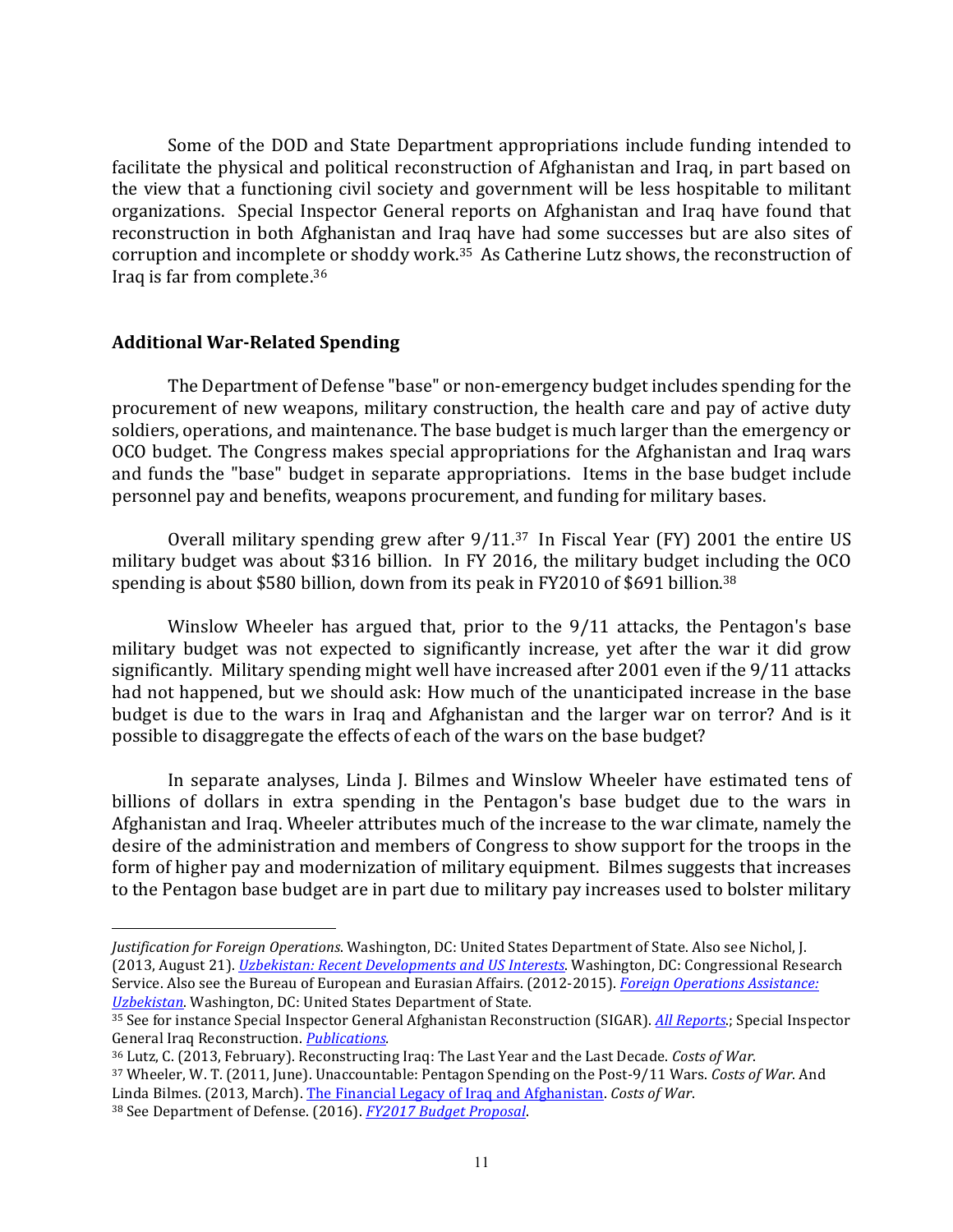Some of the DOD and State Department appropriations include funding intended to facilitate the physical and political reconstruction of Afghanistan and Iraq, in part based on the view that a functioning civil society and government will be less hospitable to militant organizations. Special Inspector General reports on Afghanistan and Iraq have found that reconstruction in both Afghanistan and Iraq have had some successes but are also sites of corruption and incomplete or shoddy work.<sup>35</sup> As Catherine Lutz shows, the reconstruction of Iraq is far from complete.<sup>36</sup>

#### **Additional War-Related Spending**

 

The Department of Defense "base" or non-emergency budget includes spending for the procurement of new weapons, military construction, the health care and pay of active duty soldiers, operations, and maintenance. The base budget is much larger than the emergency or OCO budget. The Congress makes special appropriations for the Afghanistan and Iraq wars and funds the "base" budget in separate appropriations. Items in the base budget include personnel pay and benefits, weapons procurement, and funding for military bases.

Overall military spending grew after  $9/11.^{37}$  In Fiscal Year (FY) 2001 the entire US military budget was about \$316 billion. In FY 2016, the military budget including the OCO spending is about \$580 billion, down from its peak in FY2010 of \$691 billion.<sup>38</sup>

Winslow Wheeler has argued that, prior to the 9/11 attacks, the Pentagon's base military budget was not expected to significantly increase, yet after the war it did grow significantly. Military spending might well have increased after 2001 even if the 9/11 attacks had not happened, but we should ask: How much of the unanticipated increase in the base budget is due to the wars in Iraq and Afghanistan and the larger war on terror? And is it possible to disaggregate the effects of each of the wars on the base budget?

In separate analyses, Linda J. Bilmes and Winslow Wheeler have estimated tens of billions of dollars in extra spending in the Pentagon's base budget due to the wars in Afghanistan and Iraq. Wheeler attributes much of the increase to the war climate, namely the desire of the administration and members of Congress to show support for the troops in the form of higher pay and modernization of military equipment. Bilmes suggests that increases to the Pentagon base budget are in part due to military pay increases used to bolster military

<sup>37</sup> Wheeler, W. T. (2011, June). Unaccountable: Pentagon Spending on the Post-9/11 Wars. *Costs of War*. And Linda Bilmes. (2013, March). The Financial Legacy of Iraq and Afghanistan. Costs of War. <sup>38</sup> See Department of Defense. (2016). *FY2017 Budget Proposal*.

*Justification for Foreign Operations*. Washington, DC: United States Department of State. Also see Nichol, J. (2013, August 21). *Uzbekistan: Recent Developments and US Interests*. Washington, DC: Congressional Research Service. Also see the Bureau of European and Eurasian Affairs. (2012-2015). *Foreign Operations Assistance: Uzbekistan*. Washington, DC: United States Department of State.

<sup>35</sup> See for instance Special Inspector General Afghanistan Reconstruction (SIGAR). *All Reports*.; Special Inspector General Iraq Reconstruction. *Publications*.

<sup>36</sup> Lutz, C. (2013, February). Reconstructing Iraq: The Last Year and the Last Decade. Costs of War.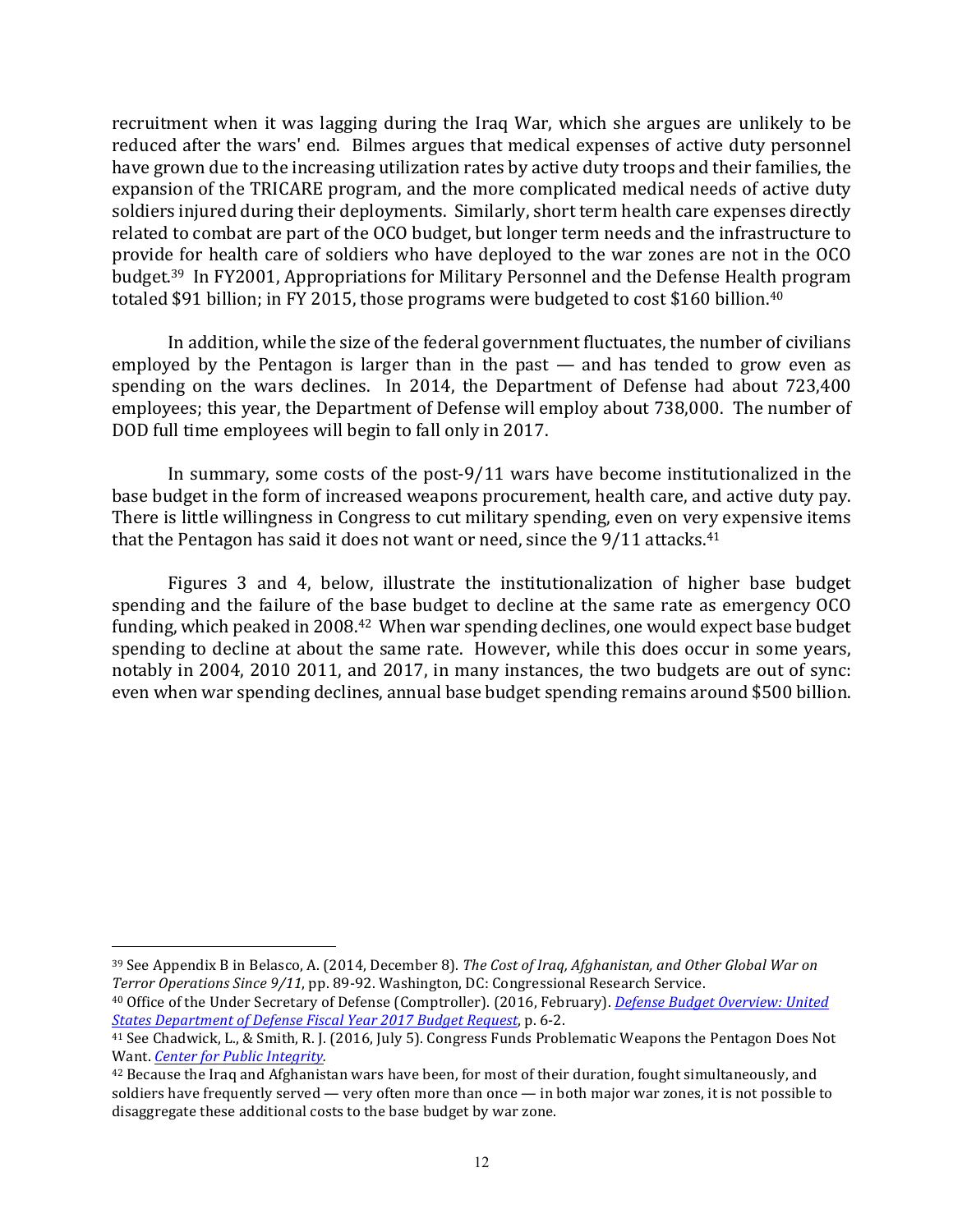recruitment when it was lagging during the Iraq War, which she argues are unlikely to be reduced after the wars' end. Bilmes argues that medical expenses of active duty personnel have grown due to the increasing utilization rates by active duty troops and their families, the expansion of the TRICARE program, and the more complicated medical needs of active duty soldiers injured during their deployments. Similarly, short term health care expenses directly related to combat are part of the OCO budget, but longer term needs and the infrastructure to provide for health care of soldiers who have deployed to the war zones are not in the OCO budget.<sup>39</sup> In FY2001, Appropriations for Military Personnel and the Defense Health program totaled \$91 billion; in FY 2015, those programs were budgeted to cost \$160 billion.<sup>40</sup>

In addition, while the size of the federal government fluctuates, the number of civilians employed by the Pentagon is larger than in the past  $-$  and has tended to grow even as spending on the wars declines. In 2014, the Department of Defense had about 723,400 employees; this year, the Department of Defense will employ about 738,000. The number of DOD full time employees will begin to fall only in 2017.

In summary, some costs of the post-9/11 wars have become institutionalized in the base budget in the form of increased weapons procurement, health care, and active duty pay. There is little willingness in Congress to cut military spending, even on very expensive items that the Pentagon has said it does not want or need, since the  $9/11$  attacks.<sup>41</sup>

Figures 3 and 4, below, illustrate the institutionalization of higher base budget spending and the failure of the base budget to decline at the same rate as emergency OCO funding, which peaked in 2008.<sup>42</sup> When war spending declines, one would expect base budget spending to decline at about the same rate. However, while this does occur in some years, notably in 2004, 2010 2011, and 2017, in many instances, the two budgets are out of sync: even when war spending declines, annual base budget spending remains around \$500 billion.

<sup>&</sup>lt;sup>39</sup> See Appendix B in Belasco, A. (2014, December 8). *The Cost of Iraq, Afghanistan, and Other Global War on Terror Operations Since 9/11*, pp. 89-92. Washington, DC: Congressional Research Service.

<sup>&</sup>lt;sup>40</sup> Office of the Under Secretary of Defense (Comptroller). (2016, February). *Defense Budget Overview: United* **States Department of Defense Fiscal Year 2017 Budget Request, p. 6-2.** 

<sup>&</sup>lt;sup>41</sup> See Chadwick, L., & Smith, R. J. (2016, July 5). Congress Funds Problematic Weapons the Pentagon Does Not Want. *Center for Public Integrity.* 

<sup>&</sup>lt;sup>42</sup> Because the Iraq and Afghanistan wars have been, for most of their duration, fought simultaneously, and soldiers have frequently served — very often more than once — in both major war zones, it is not possible to disaggregate these additional costs to the base budget by war zone.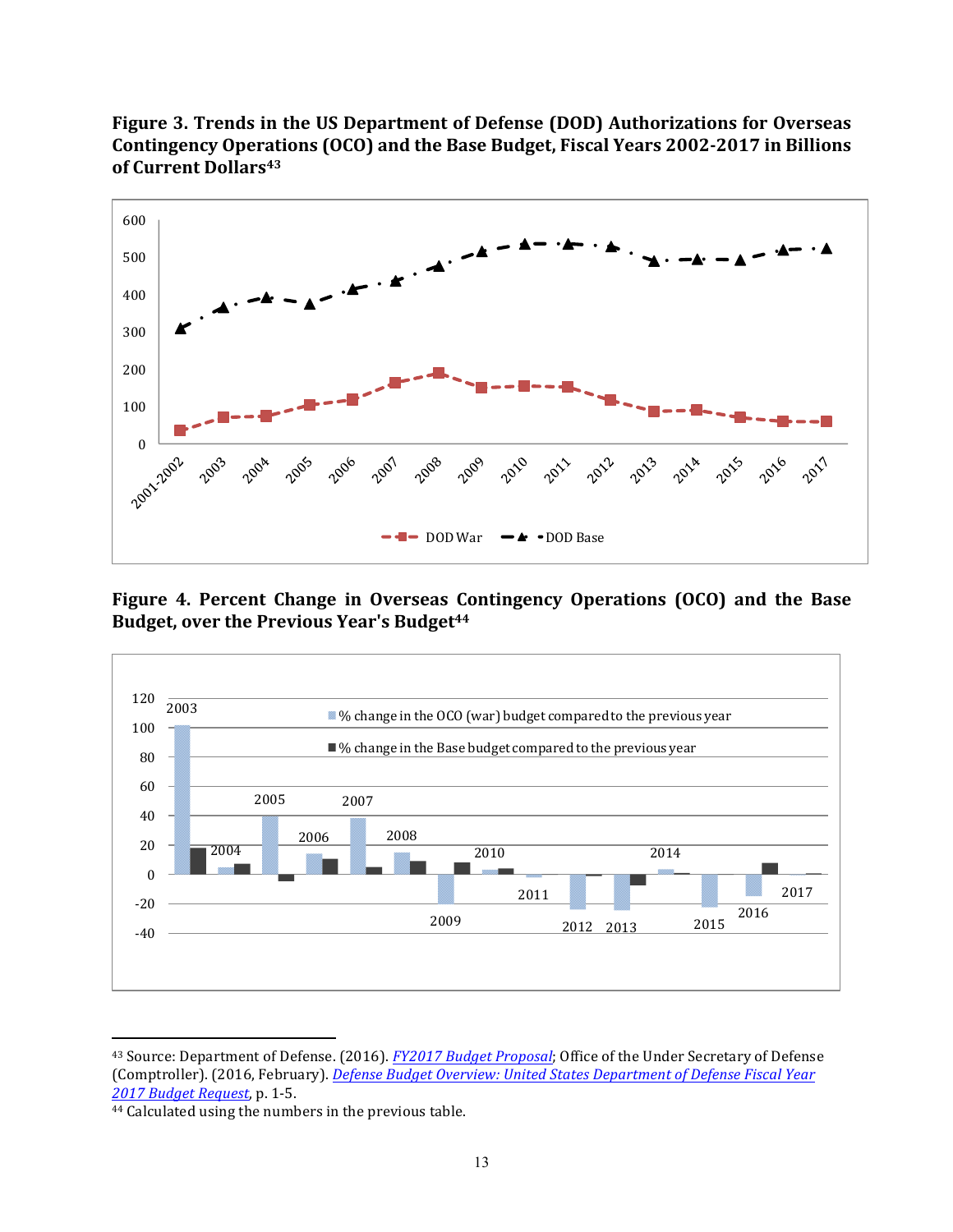

Figure 3. Trends in the US Department of Defense (DOD) Authorizations for Overseas **Contingency Operations (OCO) and the Base Budget, Fiscal Years 2002-2017 in Billions**  of Current Dollars<sup>43</sup>

**Figure 4. Percent Change in Overseas Contingency Operations (OCO) and the Base** Budget, over the Previous Year's Budget<sup>44</sup>



<sup>&</sup>lt;sup>43</sup> Source: Department of Defense. (2016). *FY2017 Budget Proposal*; Office of the Under Secretary of Defense (Comptroller). (2016, February). *Defense Budget Overview: United States Department of Defense Fiscal Year 2017 Budget Request*, p. 1-5. 

<sup>&</sup>lt;sup>44</sup> Calculated using the numbers in the previous table.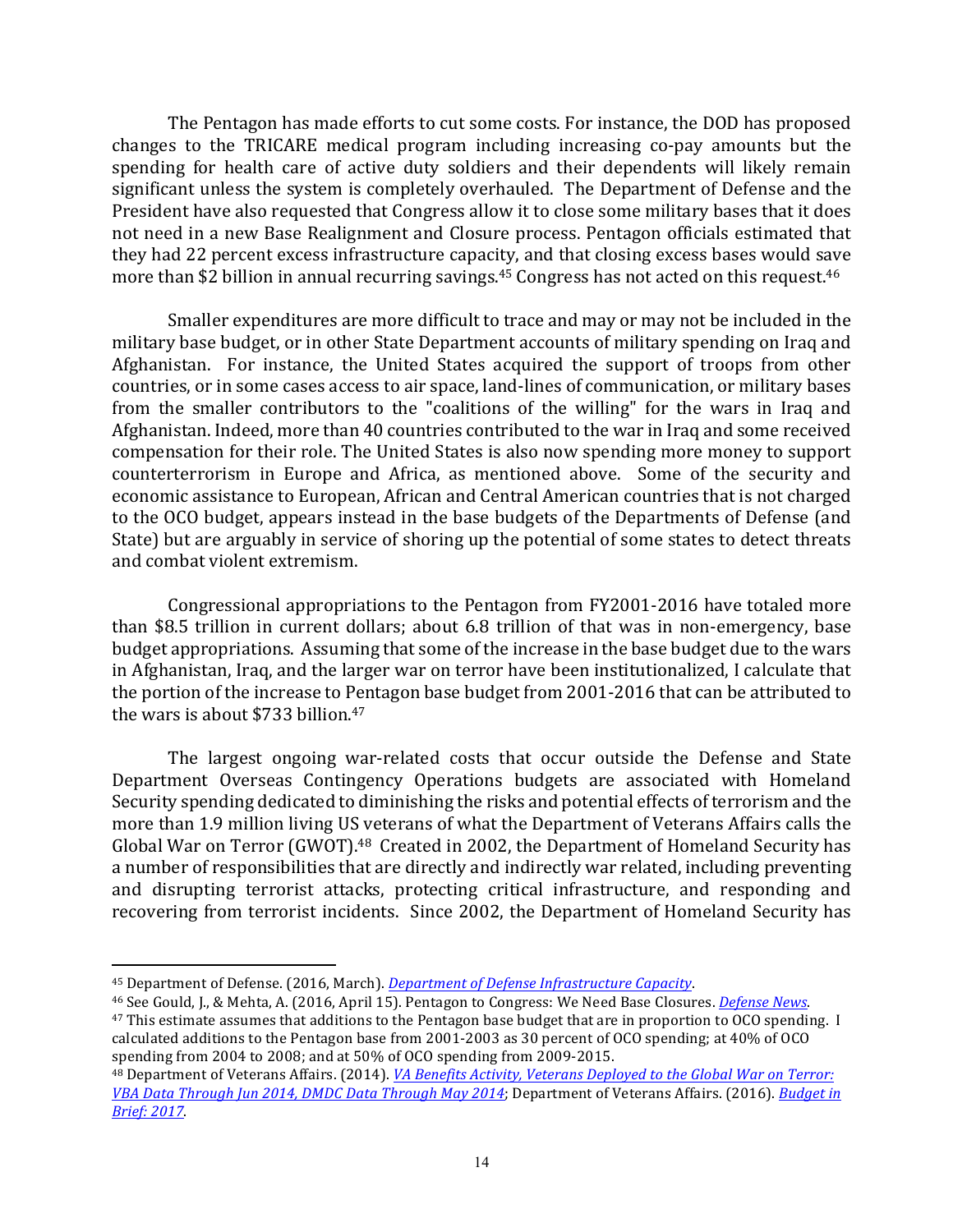The Pentagon has made efforts to cut some costs. For instance, the DOD has proposed changes to the TRICARE medical program including increasing co-pay amounts but the spending for health care of active duty soldiers and their dependents will likely remain significant unless the system is completely overhauled. The Department of Defense and the President have also requested that Congress allow it to close some military bases that it does not need in a new Base Realignment and Closure process. Pentagon officials estimated that they had 22 percent excess infrastructure capacity, and that closing excess bases would save more than \$2 billion in annual recurring savings.<sup>45</sup> Congress has not acted on this request.<sup>46</sup>

Smaller expenditures are more difficult to trace and may or may not be included in the military base budget, or in other State Department accounts of military spending on Iraq and Afghanistan. For instance, the United States acquired the support of troops from other countries, or in some cases access to air space, land-lines of communication, or military bases from the smaller contributors to the "coalitions of the willing" for the wars in Iraq and Afghanistan. Indeed, more than 40 countries contributed to the war in Iraq and some received compensation for their role. The United States is also now spending more money to support counterterrorism in Europe and Africa, as mentioned above. Some of the security and economic assistance to European, African and Central American countries that is not charged to the OCO budget, appears instead in the base budgets of the Departments of Defense (and State) but are arguably in service of shoring up the potential of some states to detect threats and combat violent extremism.

Congressional appropriations to the Pentagon from FY2001-2016 have totaled more than \$8.5 trillion in current dollars; about 6.8 trillion of that was in non-emergency, base budget appropriations. Assuming that some of the increase in the base budget due to the wars in Afghanistan, Iraq, and the larger war on terror have been institutionalized, I calculate that the portion of the increase to Pentagon base budget from 2001-2016 that can be attributed to the wars is about  $$733$  billion.<sup>47</sup>

The largest ongoing war-related costs that occur outside the Defense and State Department Overseas Contingency Operations budgets are associated with Homeland Security spending dedicated to diminishing the risks and potential effects of terrorism and the more than 1.9 million living US veterans of what the Department of Veterans Affairs calls the Global War on Terror (GWOT).<sup>48</sup> Created in 2002, the Department of Homeland Security has a number of responsibilities that are directly and indirectly war related, including preventing and disrupting terrorist attacks, protecting critical infrastructure, and responding and recovering from terrorist incidents. Since 2002, the Department of Homeland Security has

 

<sup>46</sup> See Gould, J., & Mehta, A. (2016, April 15). Pentagon to Congress: We Need Base Closures. *Defense News*.

<sup>47</sup> This estimate assumes that additions to the Pentagon base budget that are in proportion to OCO spending. I calculated additions to the Pentagon base from 2001-2003 as 30 percent of OCO spending; at 40% of OCO spending from 2004 to 2008; and at 50% of OCO spending from 2009-2015.

<sup>&</sup>lt;sup>45</sup> Department of Defense. (2016, March). *Department of Defense Infrastructure Capacity*.

<sup>48</sup> Department of Veterans Affairs. (2014). *VA Benefits Activity, Veterans Deployed to the Global War on Terror: VBA* Data Through Jun 2014, DMDC Data Through May 2014; Department of Veterans Affairs. (2016). *Budget in Brief: 2017*.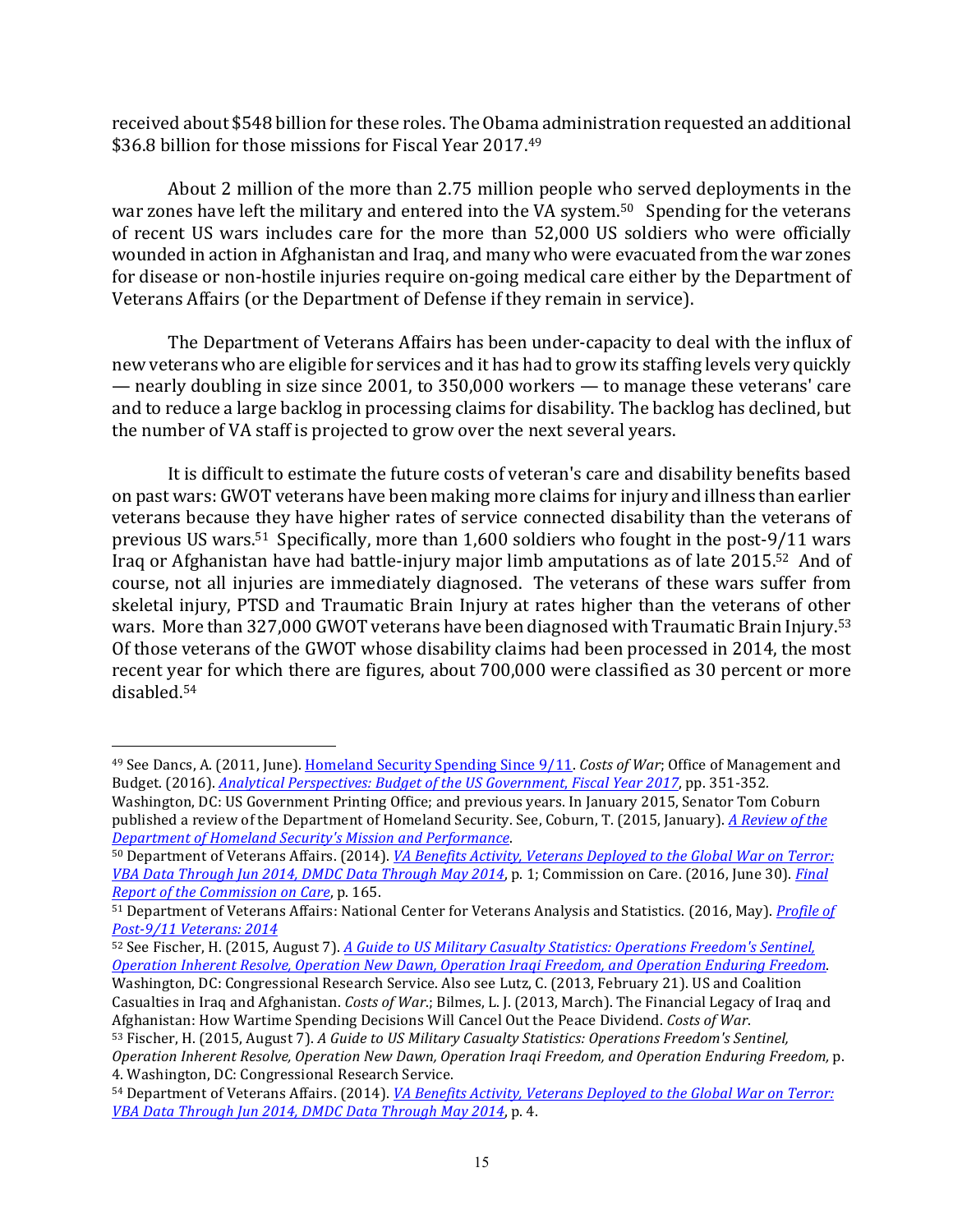received about \$548 billion for these roles. The Obama administration requested an additional \$36.8 billion for those missions for Fiscal Year  $2017<sup>49</sup>$ 

About 2 million of the more than 2.75 million people who served deployments in the war zones have left the military and entered into the VA system.<sup>50</sup> Spending for the veterans of recent US wars includes care for the more than 52,000 US soldiers who were officially wounded in action in Afghanistan and Iraq, and many who were evacuated from the war zones for disease or non-hostile injuries require on-going medical care either by the Department of Veterans Affairs (or the Department of Defense if they remain in service).

The Department of Veterans Affairs has been under-capacity to deal with the influx of new veterans who are eligible for services and it has had to grow its staffing levels very quickly — nearly doubling in size since  $2001$ , to  $350,000$  workers — to manage these veterans' care and to reduce a large backlog in processing claims for disability. The backlog has declined, but the number of VA staff is projected to grow over the next several years.

It is difficult to estimate the future costs of veteran's care and disability benefits based on past wars: GWOT veterans have been making more claims for injury and illness than earlier veterans because they have higher rates of service connected disability than the veterans of previous US wars.<sup>51</sup> Specifically, more than  $1,600$  soldiers who fought in the post-9/11 wars Iraq or Afghanistan have had battle-injury major limb amputations as of late 2015.<sup>52</sup> And of course, not all injuries are immediately diagnosed. The veterans of these wars suffer from skeletal injury, PTSD and Traumatic Brain Injury at rates higher than the veterans of other wars. More than 327,000 GWOT veterans have been diagnosed with Traumatic Brain Injury.<sup>53</sup> Of those veterans of the GWOT whose disability claims had been processed in 2014, the most recent year for which there are figures, about 700,000 were classified as 30 percent or more disabled.54

<sup>&</sup>lt;sup>49</sup> See Dancs, A. (2011, June). Homeland Security Spending Since 9/11. *Costs of War*; Office of Management and Budget. (2016). *Analytical Perspectives: Budget of the US Government, Fiscal Year 2017, pp.* 351-352.

Washington, DC: US Government Printing Office; and previous years. In January 2015, Senator Tom Coburn published a review of the Department of Homeland Security. See, Coburn, T. (2015, January). *A Review of the Department of Homeland Security's Mission and Performance*.

<sup>50</sup> Department of Veterans Affairs. (2014). *VA Benefits Activity, Veterans Deployed to the Global War on Terror: VBA* Data Through Jun 2014, DMDC Data Through May 2014, p. 1; Commission on Care. (2016, June 30). *Final Report of the Commission on Care, p. 165.* 

<sup>51</sup> Department of Veterans Affairs: National Center for Veterans Analysis and Statistics. (2016, May). *Profile of Post-9/11 Veterans: 2014*

<sup>52</sup> See Fischer, H. (2015, August 7). *A Guide to US Military Casualty Statistics: Operations Freedom's Sentinel, Operation Inherent Resolve, Operation New Dawn, Operation Iraqi Freedom, and Operation Enduring Freedom*. Washington, DC: Congressional Research Service. Also see Lutz, C. (2013, February 21). US and Coalition Casualties in Iraq and Afghanistan. *Costs of War*.; Bilmes, L. J. (2013, March). The Financial Legacy of Iraq and Afghanistan: How Wartime Spending Decisions Will Cancel Out the Peace Dividend. Costs of War.

<sup>53</sup> Fischer, H. (2015, August 7). *A Guide to US Military Casualty Statistics: Operations Freedom's Sentinel, Operation Inherent Resolve, Operation New Dawn, Operation Iraqi Freedom, and Operation Enduring Freedom,* p. 4. Washington, DC: Congressional Research Service.

<sup>54</sup> Department of Veterans Affairs. (2014). *VA Benefits Activity, Veterans Deployed to the Global War on Terror: VBA Data Through Jun 2014, DMDC Data Through May 2014*, p. 4.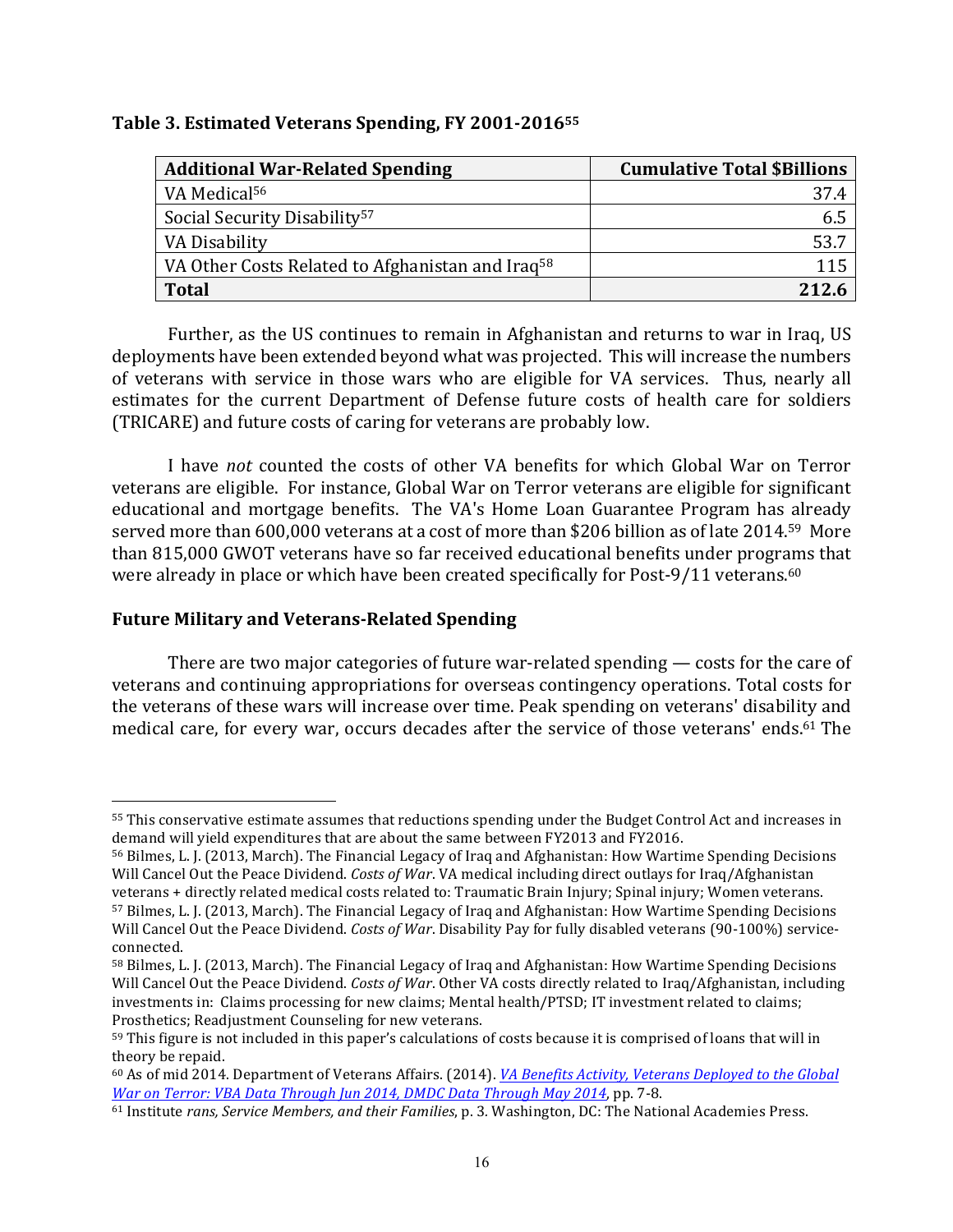## **Table 3. Estimated Veterans Spending, FY 2001-2016<sup>55</sup>**

| <b>Additional War-Related Spending</b>                       | <b>Cumulative Total \$Billions</b> |
|--------------------------------------------------------------|------------------------------------|
| VA Medical <sup>56</sup>                                     | 37.4                               |
| Social Security Disability <sup>57</sup>                     | ნ.5                                |
| VA Disability                                                | 53.7                               |
| VA Other Costs Related to Afghanistan and Iraq <sup>58</sup> | 115                                |
| <b>Total</b>                                                 | 212.6                              |

Further, as the US continues to remain in Afghanistan and returns to war in Iraq, US deployments have been extended beyond what was projected. This will increase the numbers of veterans with service in those wars who are eligible for VA services. Thus, nearly all estimates for the current Department of Defense future costs of health care for soldiers (TRICARE) and future costs of caring for veterans are probably low.

I have *not* counted the costs of other VA benefits for which Global War on Terror veterans are eligible. For instance, Global War on Terror veterans are eligible for significant educational and mortgage benefits. The VA's Home Loan Guarantee Program has already served more than 600,000 veterans at a cost of more than \$206 billion as of late 2014.<sup>59</sup> More than 815,000 GWOT veterans have so far received educational benefits under programs that were already in place or which have been created specifically for Post-9/11 veterans.<sup>60</sup>

# **Future Military and Veterans-Related Spending**

 

There are two major categories of future war-related spending  $-$  costs for the care of veterans and continuing appropriations for overseas contingency operations. Total costs for the veterans of these wars will increase over time. Peak spending on veterans' disability and medical care, for every war, occurs decades after the service of those veterans' ends.<sup>61</sup> The

<sup>55</sup> This conservative estimate assumes that reductions spending under the Budget Control Act and increases in demand will yield expenditures that are about the same between FY2013 and FY2016.

<sup>56</sup> Bilmes, L. J. (2013, March). The Financial Legacy of Iraq and Afghanistan: How Wartime Spending Decisions Will Cancel Out the Peace Dividend. *Costs of War*. VA medical including direct outlays for Iraq/Afghanistan veterans + directly related medical costs related to: Traumatic Brain Injury; Spinal injury; Women veterans. 57 Bilmes, L. J. (2013, March). The Financial Legacy of Iraq and Afghanistan: How Wartime Spending Decisions

Will Cancel Out the Peace Dividend. *Costs of War*. Disability Pay for fully disabled veterans (90-100%) serviceconnected.

<sup>58</sup> Bilmes, L. J. (2013, March). The Financial Legacy of Iraq and Afghanistan: How Wartime Spending Decisions Will Cancel Out the Peace Dividend. *Costs of War*. Other VA costs directly related to Iraq/Afghanistan, including investments in: Claims processing for new claims; Mental health/PTSD; IT investment related to claims; Prosthetics; Readjustment Counseling for new veterans.

<sup>59</sup> This figure is not included in this paper's calculations of costs because it is comprised of loans that will in theory be repaid.

<sup>&</sup>lt;sup>60</sup> As of mid 2014. Department of Veterans Affairs. (2014). *VA Benefits Activity, Veterans Deployed to the Global War* on Terror: *VBA* Data Through Jun 2014, DMDC Data Through May 2014, pp. 7-8.

<sup>61</sup> Institute *rans, Service Members, and their Families*, p. 3. Washington, DC: The National Academies Press.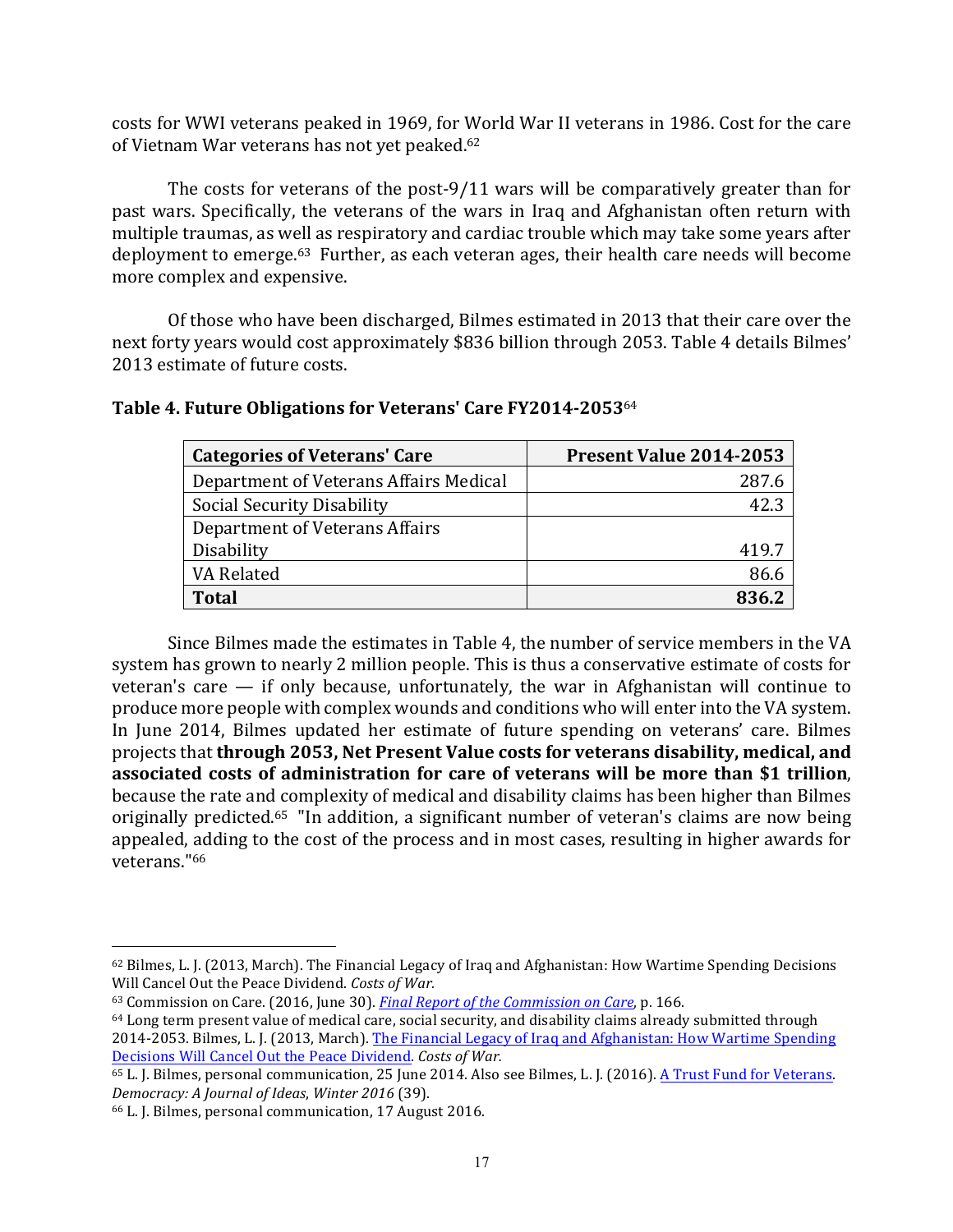costs for WWI veterans peaked in 1969, for World War II veterans in 1986. Cost for the care of Vietnam War veterans has not yet peaked.<sup>62</sup>

The costs for veterans of the post-9/11 wars will be comparatively greater than for past wars. Specifically, the veterans of the wars in Iraq and Afghanistan often return with multiple traumas, as well as respiratory and cardiac trouble which may take some years after deployment to emerge.<sup>63</sup> Further, as each veteran ages, their health care needs will become more complex and expensive.

Of those who have been discharged, Bilmes estimated in 2013 that their care over the next forty years would cost approximately \$836 billion through 2053. Table 4 details Bilmes' 2013 estimate of future costs.

| <b>Categories of Veterans' Care</b>    | Present Value 2014-2053 |
|----------------------------------------|-------------------------|
| Department of Veterans Affairs Medical | 287.6                   |
| Social Security Disability             | 42.3                    |
| Department of Veterans Affairs         |                         |
| Disability                             | 419.7                   |
| VA Related                             | 86.6                    |
| <b>Total</b>                           |                         |

# Table 4. Future Obligations for Veterans' Care FY2014-2053<sup>64</sup>

Since Bilmes made the estimates in Table 4, the number of service members in the VA system has grown to nearly 2 million people. This is thus a conservative estimate of costs for veteran's care  $-$  if only because, unfortunately, the war in Afghanistan will continue to produce more people with complex wounds and conditions who will enter into the VA system. In June 2014, Bilmes updated her estimate of future spending on veterans' care. Bilmes projects that **through 2053, Net Present Value costs for veterans disability, medical, and** associated costs of administration for care of veterans will be more than \$1 trillion, because the rate and complexity of medical and disability claims has been higher than Bilmes originally predicted.<sup>65</sup> "In addition, a significant number of veteran's claims are now being appealed, adding to the cost of the process and in most cases, resulting in higher awards for veterans."66

<sup>62</sup> Bilmes, L. J. (2013, March). The Financial Legacy of Iraq and Afghanistan: How Wartime Spending Decisions Will Cancel Out the Peace Dividend. Costs of War.

<sup>63</sup> Commission on Care. (2016, June 30). *Final Report of the Commission on Care*, p. 166.

 $64$  Long term present value of medical care, social security, and disability claims already submitted through 2014-2053. Bilmes, L. J. (2013, March). The Financial Legacy of Iraq and Afghanistan: How Wartime Spending Decisions Will Cancel Out the Peace Dividend. Costs of War.

<sup>65</sup> L. J. Bilmes, personal communication, 25 June 2014. Also see Bilmes, L. J. (2016). A Trust Fund for Veterans. *Democracy: A Journal of Ideas*, *Winter 2016* (39). 

<sup>&</sup>lt;sup>66</sup> L. J. Bilmes, personal communication, 17 August 2016.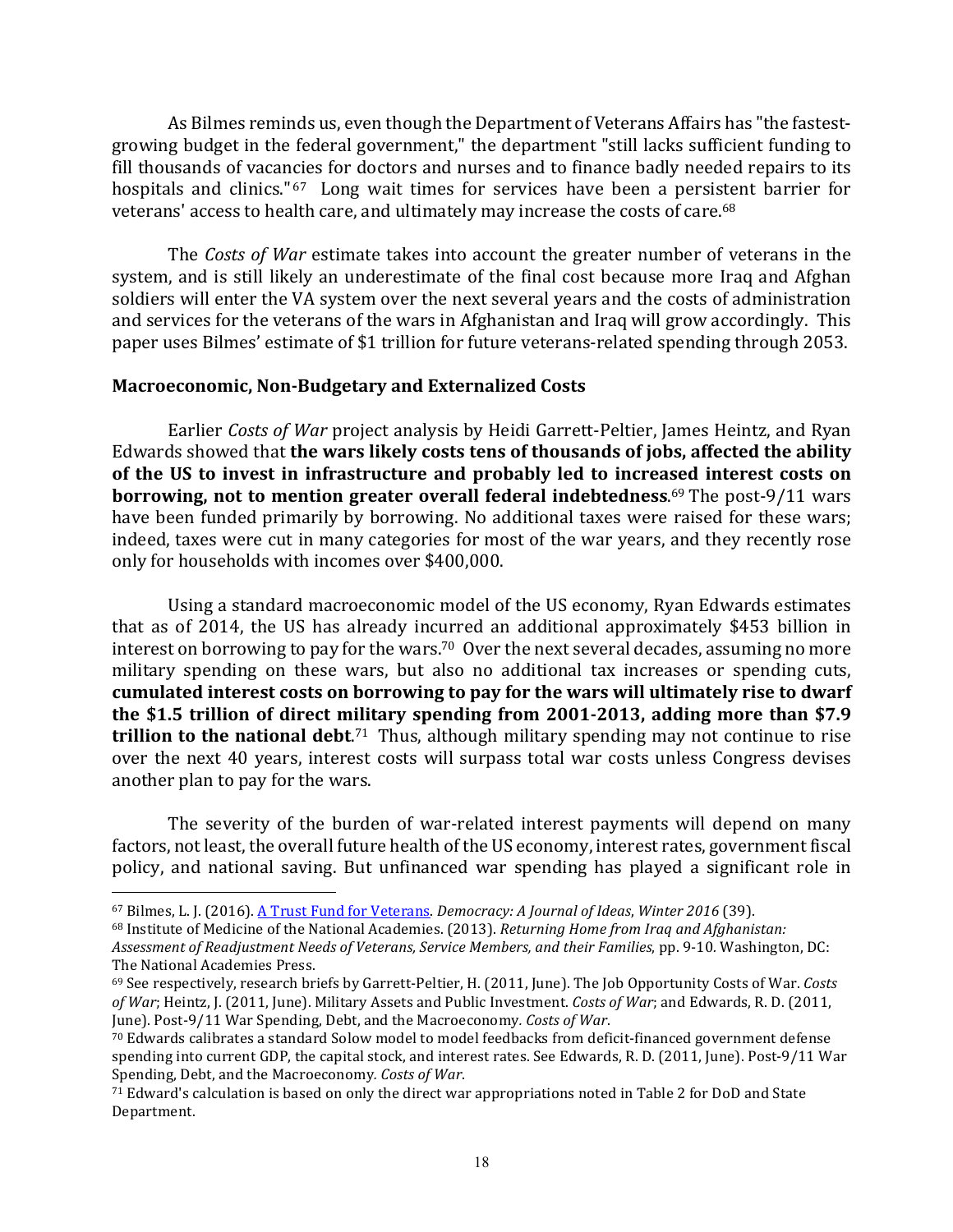As Bilmes reminds us, even though the Department of Veterans Affairs has "the fastestgrowing budget in the federal government," the department "still lacks sufficient funding to fill thousands of vacancies for doctors and nurses and to finance badly needed repairs to its hospitals and clinics."<sup>67</sup> Long wait times for services have been a persistent barrier for veterans' access to health care, and ultimately may increase the costs of care.<sup>68</sup>

The *Costs of War* estimate takes into account the greater number of veterans in the system, and is still likely an underestimate of the final cost because more Iraq and Afghan soldiers will enter the VA system over the next several years and the costs of administration and services for the veterans of the wars in Afghanistan and Iraq will grow accordingly. This paper uses Bilmes' estimate of \$1 trillion for future veterans-related spending through 2053.

#### **Macroeconomic, Non-Budgetary and Externalized Costs**

Earlier *Costs of War* project analysis by Heidi Garrett-Peltier, James Heintz, and Rvan Edwards showed that **the wars likely costs tens of thousands of jobs, affected the ability** of the US to invest in infrastructure and probably led to increased interest costs on **borrowing, not to mention greater overall federal indebtedness.**<sup>69</sup> The post-9/11 wars have been funded primarily by borrowing. No additional taxes were raised for these wars; indeed, taxes were cut in many categories for most of the war years, and they recently rose only for households with incomes over \$400,000.

Using a standard macroeconomic model of the US economy, Ryan Edwards estimates that as of 2014, the US has already incurred an additional approximately \$453 billion in interest on borrowing to pay for the wars.<sup>70</sup> Over the next several decades, assuming no more military spending on these wars, but also no additional tax increases or spending cuts, cumulated interest costs on borrowing to pay for the wars will ultimately rise to dwarf the \$1.5 trillion of direct military spending from 2001-2013, adding more than \$7.9 **trillion to the national debt.**<sup>71</sup> Thus, although military spending may not continue to rise over the next 40 years, interest costs will surpass total war costs unless Congress devises another plan to pay for the wars.

The severity of the burden of war-related interest payments will depend on many factors, not least, the overall future health of the US economy, interest rates, government fiscal policy, and national saving. But unfinanced war spending has played a significant role in

<sup>67</sup> Bilmes, L. J. (2016). A Trust Fund for Veterans. *Democracy: A Journal of Ideas, Winter 2016* (39).

<sup>&</sup>lt;sup>68</sup> Institute of Medicine of the National Academies. (2013). *Returning Home from Iraq and Afghanistan:* 

*Assessment of Readjustment Needs of Veterans, Service Members, and their Families*, pp. 9-10*.* Washington, DC: The National Academies Press.

<sup>&</sup>lt;sup>69</sup> See respectively, research briefs by Garrett-Peltier, H. (2011, June). The Job Opportunity Costs of War. *Costs of War*; Heintz, J. (2011, June). Military Assets and Public Investment. *Costs of War*; and Edwards, R. D. (2011, June). Post-9/11 War Spending, Debt, and the Macroeconomy. Costs of War.

 $70$  Edwards calibrates a standard Solow model to model feedbacks from deficit-financed government defense spending into current GDP, the capital stock, and interest rates. See Edwards, R. D. (2011, June). Post-9/11 War Spending, Debt, and the Macroeconomy. Costs of War.

 $71$  Edward's calculation is based on only the direct war appropriations noted in Table 2 for DoD and State Department.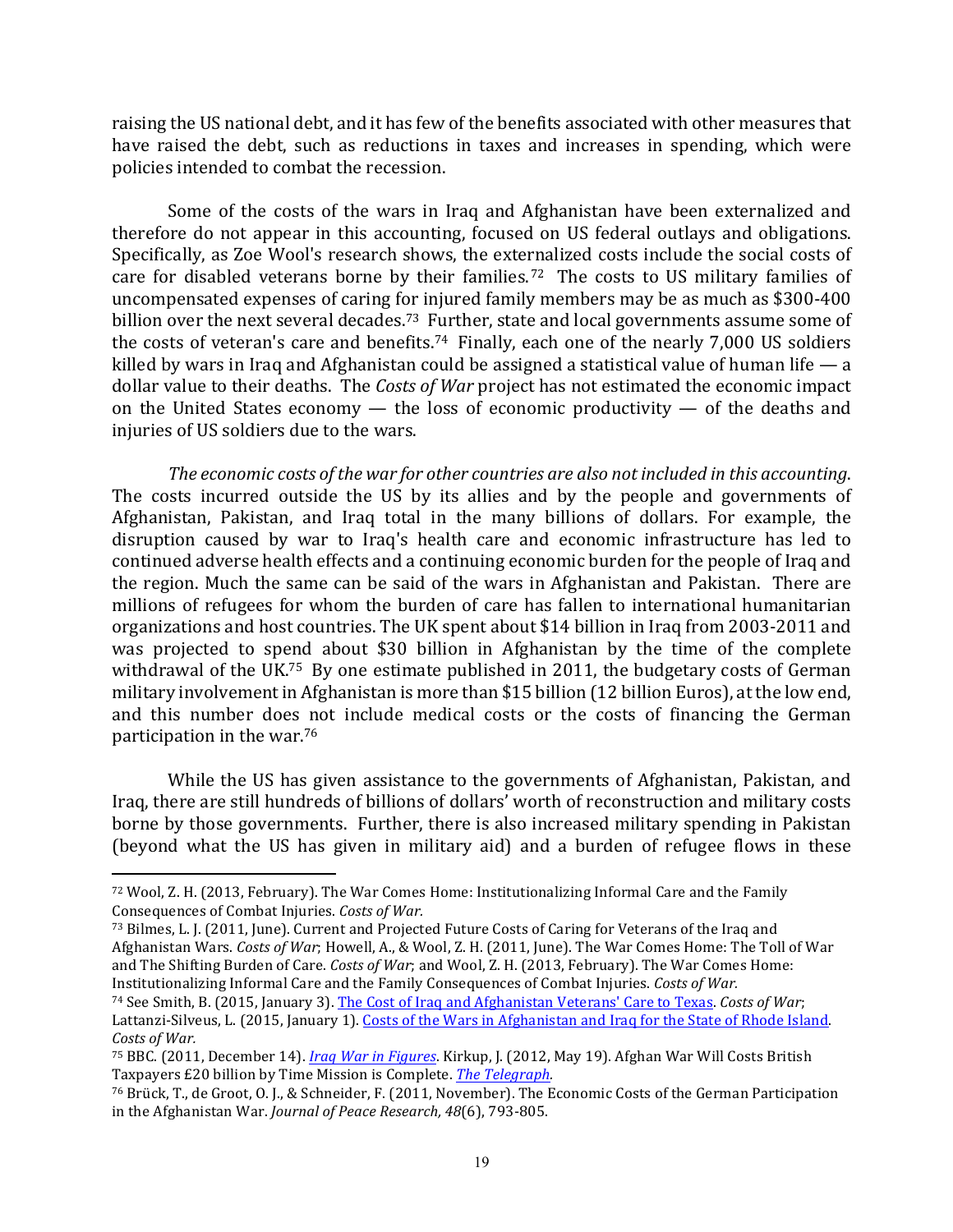raising the US national debt, and it has few of the benefits associated with other measures that have raised the debt, such as reductions in taxes and increases in spending, which were policies intended to combat the recession.

Some of the costs of the wars in Iraq and Afghanistan have been externalized and therefore do not appear in this accounting, focused on US federal outlays and obligations. Specifically, as Zoe Wool's research shows, the externalized costs include the social costs of care for disabled veterans borne by their families.<sup>72</sup> The costs to US military families of uncompensated expenses of caring for injured family members may be as much as \$300-400 billion over the next several decades.<sup>73</sup> Further, state and local governments assume some of the costs of veteran's care and benefits.<sup>74</sup> Finally, each one of the nearly  $7,000$  US soldiers killed by wars in Iraq and Afghanistan could be assigned a statistical value of human life  $-$  a dollar value to their deaths. The *Costs of War* project has not estimated the economic impact on the United States economy  $-$  the loss of economic productivity  $-$  of the deaths and injuries of US soldiers due to the wars.

The economic costs of the war for other countries are also not included in this accounting. The costs incurred outside the US by its allies and by the people and governments of Afghanistan, Pakistan, and Iraq total in the many billions of dollars. For example, the disruption caused by war to Iraq's health care and economic infrastructure has led to continued adverse health effects and a continuing economic burden for the people of Iraq and the region. Much the same can be said of the wars in Afghanistan and Pakistan. There are millions of refugees for whom the burden of care has fallen to international humanitarian organizations and host countries. The UK spent about \$14 billion in Iraq from 2003-2011 and was projected to spend about \$30 billion in Afghanistan by the time of the complete withdrawal of the UK.<sup>75</sup> By one estimate published in 2011, the budgetary costs of German military involvement in Afghanistan is more than \$15 billion (12 billion Euros), at the low end, and this number does not include medical costs or the costs of financing the German participation in the war. $76$ 

While the US has given assistance to the governments of Afghanistan, Pakistan, and Iraq, there are still hundreds of billions of dollars' worth of reconstruction and military costs borne by those governments. Further, there is also increased military spending in Pakistan (beyond what the US has given in military aid) and a burden of refugee flows in these

<sup>72</sup> Wool, Z. H. (2013, February). The War Comes Home: Institutionalizing Informal Care and the Family Consequences of Combat Injuries. Costs of War.

<sup>73</sup> Bilmes, L. J. (2011, June). Current and Projected Future Costs of Caring for Veterans of the Iraq and Afghanistan Wars. *Costs of War;* Howell, A., & Wool, Z. H. (2011, June). The War Comes Home: The Toll of War and The Shifting Burden of Care. *Costs of War*; and Wool, Z. H. (2013, February). The War Comes Home: Institutionalizing Informal Care and the Family Consequences of Combat Injuries. Costs of War.

<sup>74</sup> See Smith, B. (2015, January 3). The Cost of Iraq and Afghanistan Veterans' Care to Texas. Costs of War; Lattanzi-Silveus, L. (2015, January 1). Costs of the Wars in Afghanistan and Iraq for the State of Rhode Island. *Costs of War.*

<sup>&</sup>lt;sup>75</sup> BBC. (2011, December 14). *Iraq War in Figures*. Kirkup, J. (2012, May 19). Afghan War Will Costs British Taxpayers £20 billion by Time Mission is Complete. *The Telegraph*.

<sup>&</sup>lt;sup>76</sup> Brück, T., de Groot, O. J., & Schneider, F. (2011, November). The Economic Costs of the German Participation in the Afghanistan War. *Journal of Peace Research, 48*(6), 793-805.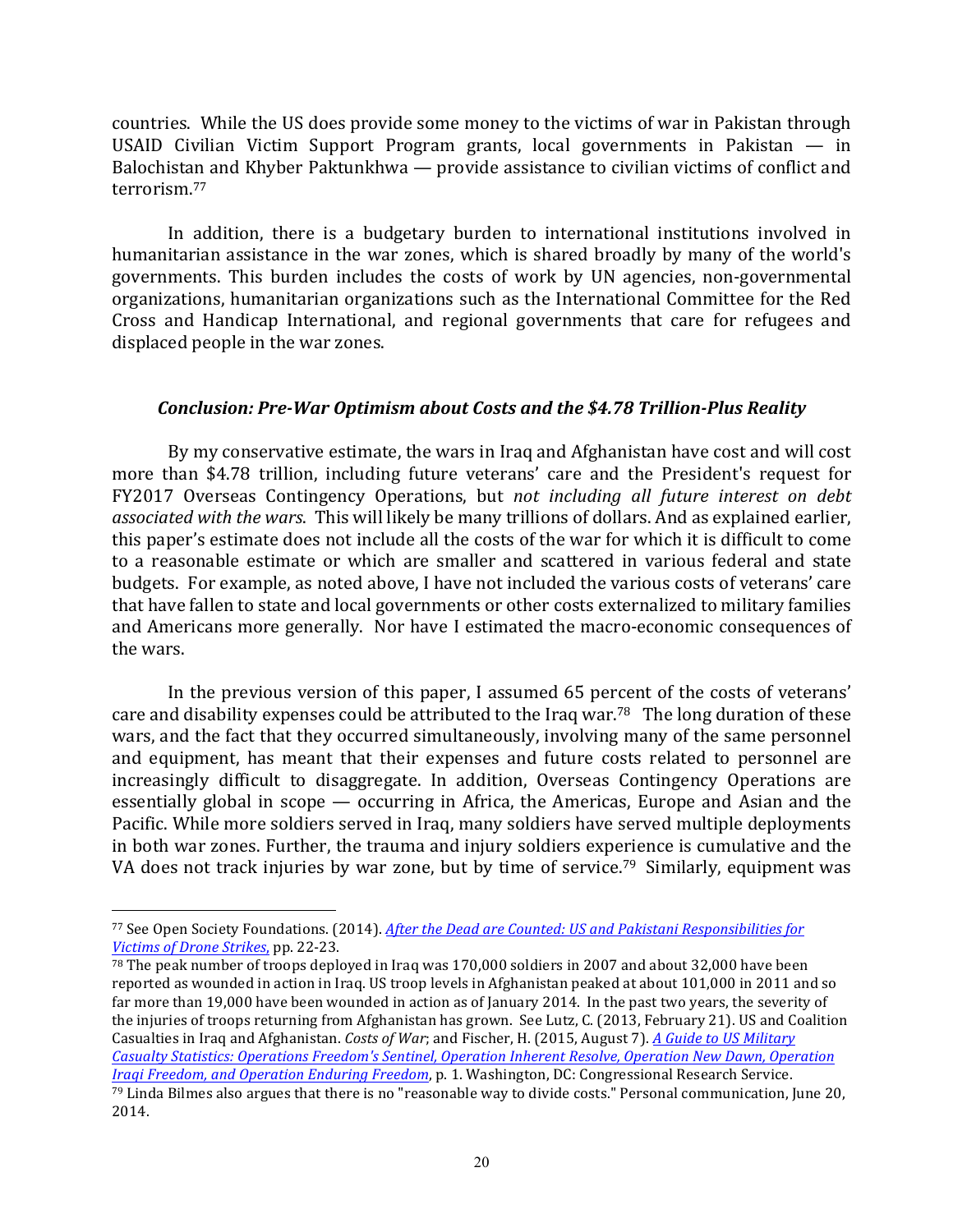countries. While the US does provide some money to the victims of war in Pakistan through USAID Civilian Victim Support Program grants, local governments in Pakistan  $-$  in Balochistan and Khyber Paktunkhwa — provide assistance to civilian victims of conflict and terrorism.77 

In addition, there is a budgetary burden to international institutions involved in humanitarian assistance in the war zones, which is shared broadly by many of the world's governments. This burden includes the costs of work by UN agencies, non-governmental organizations, humanitarian organizations such as the International Committee for the Red Cross and Handicap International, and regional governments that care for refugees and displaced people in the war zones.

## *Conclusion: Pre-War Optimism about Costs and the \$4.78 Trillion-Plus Reality*

By my conservative estimate, the wars in Iraq and Afghanistan have cost and will cost more than \$4.78 trillion, including future veterans' care and the President's request for FY2017 Overseas Contingency Operations, but *not including all future interest on debt associated with the wars.* This will likely be many trillions of dollars. And as explained earlier, this paper's estimate does not include all the costs of the war for which it is difficult to come to a reasonable estimate or which are smaller and scattered in various federal and state budgets. For example, as noted above, I have not included the various costs of veterans' care that have fallen to state and local governments or other costs externalized to military families and Americans more generally. Nor have I estimated the macro-economic consequences of the wars.

In the previous version of this paper, I assumed 65 percent of the costs of veterans' care and disability expenses could be attributed to the Iraq war.<sup>78</sup> The long duration of these wars, and the fact that they occurred simultaneously, involving many of the same personnel and equipment, has meant that their expenses and future costs related to personnel are increasingly difficult to disaggregate. In addition, Overseas Contingency Operations are essentially global in scope  $-$  occurring in Africa, the Americas, Europe and Asian and the Pacific. While more soldiers served in Iraq, many soldiers have served multiple deployments in both war zones. Further, the trauma and injury soldiers experience is cumulative and the VA does not track injuries by war zone, but by time of service.<sup>79</sup> Similarly, equipment was

<sup>77</sup> See Open Society Foundations. (2014). *After the Dead are Counted: US and Pakistani Responsibilities for Victims of Drone Strikes*, pp. 22-23. 

 $78$  The peak number of troops deployed in Iraq was 170,000 soldiers in 2007 and about 32,000 have been reported as wounded in action in Iraq. US troop levels in Afghanistan peaked at about 101,000 in 2011 and so far more than 19,000 have been wounded in action as of January 2014. In the past two years, the severity of the injuries of troops returning from Afghanistan has grown. See Lutz, C. (2013, February 21). US and Coalition Casualties in Iraq and Afghanistan. *Costs of War*; and Fischer, H. (2015, August 7). A Guide to US Military *Casualty Statistics: Operations Freedom's Sentinel, Operation Inherent Resolve, Operation New Dawn, Operation Iraqi Freedom, and Operation Enduring Freedom,* p. 1. Washington, DC: Congressional Research Service.  $79$  Linda Bilmes also argues that there is no "reasonable way to divide costs." Personal communication, June 20, 2014.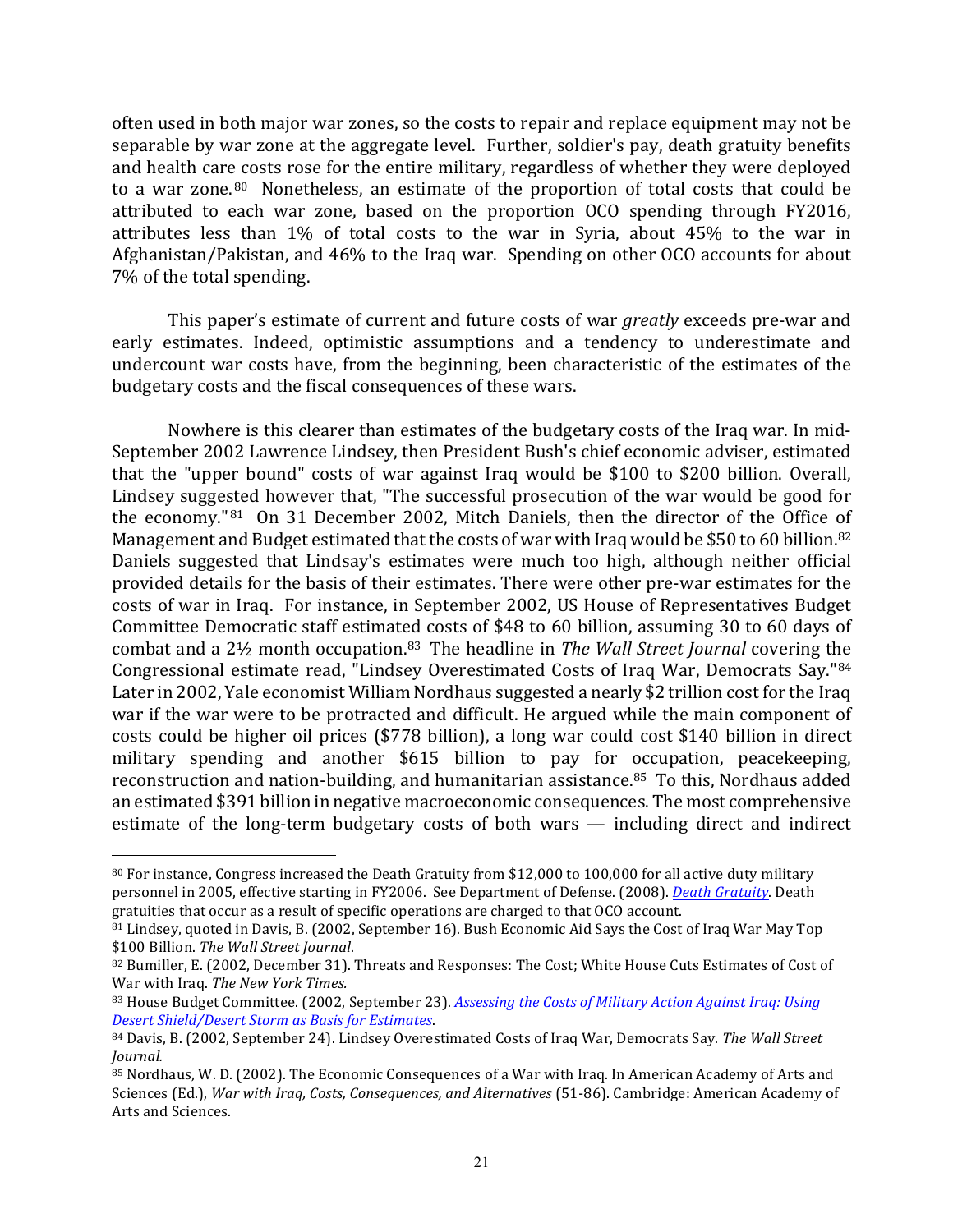often used in both major war zones, so the costs to repair and replace equipment may not be separable by war zone at the aggregate level. Further, soldier's pay, death gratuity benefits and health care costs rose for the entire military, regardless of whether they were deployed to a war zone.<sup>80</sup> Nonetheless, an estimate of the proportion of total costs that could be attributed to each war zone, based on the proportion OCO spending through FY2016, attributes less than 1% of total costs to the war in Syria, about 45% to the war in Afghanistan/Pakistan, and 46% to the Iraq war. Spending on other OCO accounts for about 7% of the total spending.

This paper's estimate of current and future costs of war *greatly* exceeds pre-war and early estimates. Indeed, optimistic assumptions and a tendency to underestimate and undercount war costs have, from the beginning, been characteristic of the estimates of the budgetary costs and the fiscal consequences of these wars.

Nowhere is this clearer than estimates of the budgetary costs of the Iraq war. In mid-September 2002 Lawrence Lindsey, then President Bush's chief economic adviser, estimated that the "upper bound" costs of war against Iraq would be \$100 to \$200 billion. Overall, Lindsey suggested however that, "The successful prosecution of the war would be good for the economy."<sup>81</sup> On 31 December 2002, Mitch Daniels, then the director of the Office of Management and Budget estimated that the costs of war with Iraq would be \$50 to 60 billion.<sup>82</sup> Daniels suggested that Lindsay's estimates were much too high, although neither official provided details for the basis of their estimates. There were other pre-war estimates for the costs of war in Iraq. For instance, in September 2002, US House of Representatives Budget Committee Democratic staff estimated costs of \$48 to 60 billion, assuming 30 to 60 days of combat and a 2<sup>1</sup>/<sub>2</sub> month occupation.<sup>83</sup> The headline in *The Wall Street Journal* covering the Congressional estimate read, "Lindsey Overestimated Costs of Iraq War, Democrats Say."84 Later in 2002, Yale economist William Nordhaus suggested a nearly \$2 trillion cost for the Iraq war if the war were to be protracted and difficult. He argued while the main component of costs could be higher oil prices (\$778 billion), a long war could cost \$140 billion in direct military spending and another \$615 billion to pay for occupation, peacekeeping, reconstruction and nation-building, and humanitarian assistance.<sup>85</sup> To this, Nordhaus added an estimated \$391 billion in negative macroeconomic consequences. The most comprehensive estimate of the long-term budgetary costs of both wars  $-$  including direct and indirect

<sup>80</sup> For instance, Congress increased the Death Gratuity from \$12,000 to 100,000 for all active duty military personnel in 2005, effective starting in FY2006. See Department of Defense. (2008). *Death Gratuity*. Death gratuities that occur as a result of specific operations are charged to that OCO account.

<sup>&</sup>lt;sup>81</sup> Lindsey, quoted in Davis, B. (2002, September 16). Bush Economic Aid Says the Cost of Iraq War May Top \$100 Billion. The Wall Street Journal.

<sup>82</sup> Bumiller, E. (2002, December 31). Threats and Responses: The Cost; White House Cuts Estimates of Cost of War with Iraq. The New York Times.

<sup>83</sup> House Budget Committee. (2002, September 23). *Assessing the Costs of Military Action Against Iraq: Using Desert Shield/Desert Storm as Basis for Estimates*. 

<sup>84</sup> Davis, B. (2002, September 24). Lindsey Overestimated Costs of Iraq War, Democrats Say. The Wall Street *Journal.*

<sup>85</sup> Nordhaus, W. D. (2002). The Economic Consequences of a War with Iraq. In American Academy of Arts and Sciences (Ed.), *War with Iraq, Costs, Consequences, and Alternatives* (51-86). Cambridge: American Academy of Arts and Sciences.